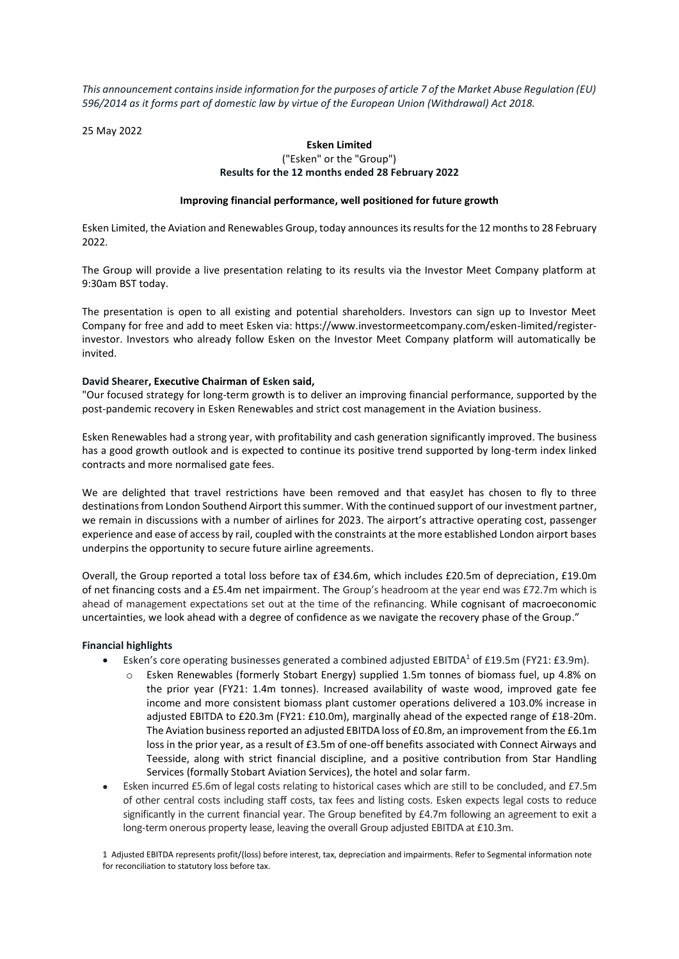*This announcement contains inside information for the purposes of article 7 of the Market Abuse Regulation (EU) 596/2014 as it forms part of domestic law by virtue of the European Union (Withdrawal) Act 2018.*

25 May 2022

## **Esken Limited**

## ("Esken" or the "Group") **Results for the 12 months ended 28 February 2022**

## **Improving financial performance, well positioned for future growth**

Esken Limited, the Aviation and Renewables Group, today announces its results for the 12 months to 28 February 2022.

The Group will provide a live presentation relating to its results via the Investor Meet Company platform at 9:30am BST today.

The presentation is open to all existing and potential shareholders. Investors can sign up to Investor Meet Company for free and add to meet Esken via: https://www.investormeetcompany.com/esken-limited/registerinvestor. Investors who already follow Esken on the Investor Meet Company platform will automatically be invited.

## **David Shearer, Executive Chairman of Esken said,**

"Our focused strategy for long-term growth is to deliver an improving financial performance, supported by the post-pandemic recovery in Esken Renewables and strict cost management in the Aviation business.

Esken Renewables had a strong year, with profitability and cash generation significantly improved. The business has a good growth outlook and is expected to continue its positive trend supported by long-term index linked contracts and more normalised gate fees.

We are delighted that travel restrictions have been removed and that easyJet has chosen to fly to three destinations from London Southend Airport this summer. With the continued support of our investment partner, we remain in discussions with a number of airlines for 2023. The airport's attractive operating cost, passenger experience and ease of access by rail, coupled with the constraints at the more established London airport bases underpins the opportunity to secure future airline agreements.

Overall, the Group reported a total loss before tax of £34.6m, which includes £20.5m of depreciation, £19.0m of net financing costs and a £5.4m net impairment. The Group's headroom at the year end was £72.7m which is ahead of management expectations set out at the time of the refinancing. While cognisant of macroeconomic uncertainties, we look ahead with a degree of confidence as we navigate the recovery phase of the Group."

## **Financial highlights**

- Esken's core operating businesses generated a combined adjusted EBITDA<sup>1</sup> of £19.5m (FY21: £3.9m).
	- Esken Renewables (formerly Stobart Energy) supplied 1.5m tonnes of biomass fuel, up 4.8% on the prior year (FY21: 1.4m tonnes). Increased availability of waste wood, improved gate fee income and more consistent biomass plant customer operations delivered a 103.0% increase in adjusted EBITDA to £20.3m (FY21: £10.0m), marginally ahead of the expected range of £18-20m. The Aviation business reported an adjusted EBITDA loss of £0.8m, an improvement from the £6.1m loss in the prior year, as a result of £3.5m of one-off benefits associated with Connect Airways and Teesside, along with strict financial discipline, and a positive contribution from Star Handling Services (formally Stobart Aviation Services), the hotel and solar farm.
- Esken incurred £5.6m of legal costs relating to historical cases which are still to be concluded, and £7.5m of other central costs including staff costs, tax fees and listing costs. Esken expects legal costs to reduce significantly in the current financial year. The Group benefited by £4.7m following an agreement to exit a long-term onerous property lease, leaving the overall Group adjusted EBITDA at £10.3m.

1 Adjusted EBITDA represents profit/(loss) before interest, tax, depreciation and impairments. Refer to Segmental information note for reconciliation to statutory loss before tax.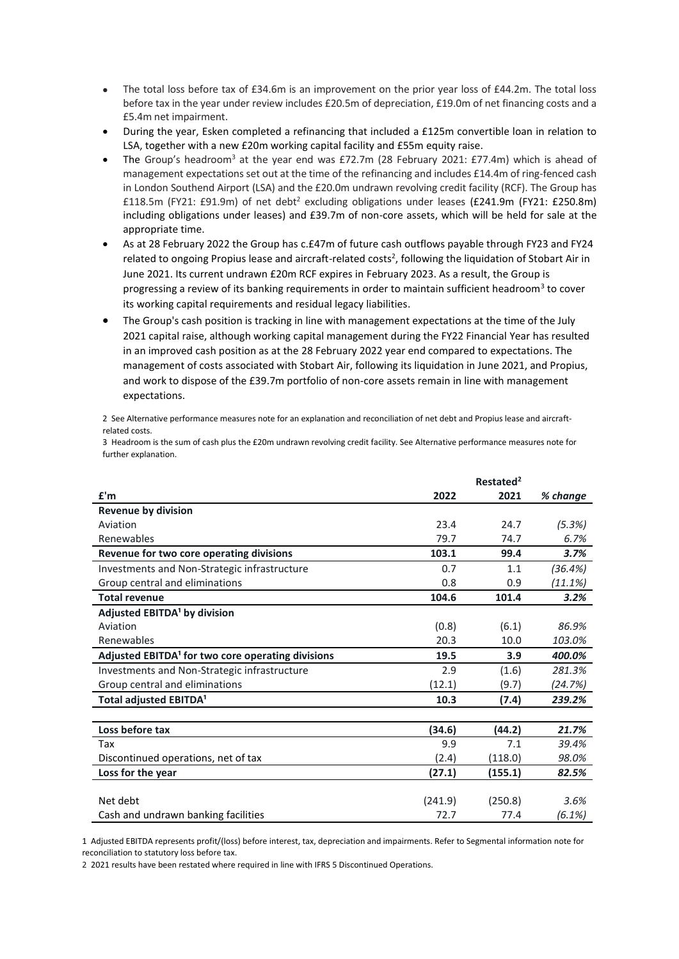- The total loss before tax of £34.6m is an improvement on the prior year loss of £44.2m. The total loss before tax in the year under review includes £20.5m of depreciation, £19.0m of net financing costs and a £5.4m net impairment.
- During the year, Esken completed a refinancing that included a £125m convertible loan in relation to LSA, together with a new £20m working capital facility and £55m equity raise.
- The Group's headroom<sup>3</sup> at the year end was £72.7m (28 February 2021: £77.4m) which is ahead of management expectations set out at the time of the refinancing and includes £14.4m of ring-fenced cash in London Southend Airport (LSA) and the £20.0m undrawn revolving credit facility (RCF). The Group has £118.5m (FY21: £91.9m) of net debt<sup>2</sup> excluding obligations under leases (£241.9m (FY21: £250.8m) including obligations under leases) and £39.7m of non-core assets, which will be held for sale at the appropriate time.
- As at 28 February 2022 the Group has c.£47m of future cash outflows payable through FY23 and FY24 related to ongoing Propius lease and aircraft-related costs<sup>2</sup>, following the liquidation of Stobart Air in June 2021. Its current undrawn £20m RCF expires in February 2023. As a result, the Group is progressing a review of its banking requirements in order to maintain sufficient headroom<sup>3</sup> to cover its working capital requirements and residual legacy liabilities.
- The Group's cash position is tracking in line with management expectations at the time of the July 2021 capital raise, although working capital management during the FY22 Financial Year has resulted in an improved cash position as at the 28 February 2022 year end compared to expectations. The management of costs associated with Stobart Air, following its liquidation in June 2021, and Propius, and work to dispose of the £39.7m portfolio of non-core assets remain in line with management expectations.

2 See Alternative performance measures note for an explanation and reconciliation of net debt and Propius lease and aircraftrelated costs.

3 Headroom is the sum of cash plus the £20m undrawn revolving credit facility. See Alternative performance measures note for further explanation.

|                                                               |         | Restated <sup>2</sup> |          |
|---------------------------------------------------------------|---------|-----------------------|----------|
| f'm                                                           | 2022    | 2021                  | % change |
| <b>Revenue by division</b>                                    |         |                       |          |
| Aviation                                                      | 23.4    | 24.7                  | (5.3%)   |
| Renewables                                                    | 79.7    | 74.7                  | 6.7%     |
| Revenue for two core operating divisions                      | 103.1   | 99.4                  | 3.7%     |
| Investments and Non-Strategic infrastructure                  | 0.7     | 1.1                   | (36.4%)  |
| Group central and eliminations                                | 0.8     | 0.9                   | (11.1%)  |
| <b>Total revenue</b>                                          | 104.6   | 101.4                 | 3.2%     |
| Adjusted EBITDA <sup>1</sup> by division                      |         |                       |          |
| Aviation                                                      | (0.8)   | (6.1)                 | 86.9%    |
| Renewables                                                    | 20.3    | 10.0                  | 103.0%   |
| Adjusted EBITDA <sup>1</sup> for two core operating divisions | 19.5    | 3.9                   | 400.0%   |
| Investments and Non-Strategic infrastructure                  | 2.9     | (1.6)                 | 281.3%   |
| Group central and eliminations                                | (12.1)  | (9.7)                 | (24.7%)  |
| Total adjusted EBITDA <sup>1</sup>                            | 10.3    | (7.4)                 | 239.2%   |
|                                                               |         |                       |          |
| Loss before tax                                               | (34.6)  | (44.2)                | 21.7%    |
| Tax                                                           | 9.9     | 7.1                   | 39.4%    |
| Discontinued operations, net of tax                           | (2.4)   | (118.0)               | 98.0%    |
| Loss for the year                                             | (27.1)  | (155.1)               | 82.5%    |
|                                                               |         |                       |          |
| Net debt                                                      | (241.9) | (250.8)               | 3.6%     |
| Cash and undrawn banking facilities                           | 72.7    | 77.4                  | (6.1%)   |

1 Adjusted EBITDA represents profit/(loss) before interest, tax, depreciation and impairments. Refer to Segmental information note for reconciliation to statutory loss before tax.

2 2021 results have been restated where required in line with IFRS 5 Discontinued Operations.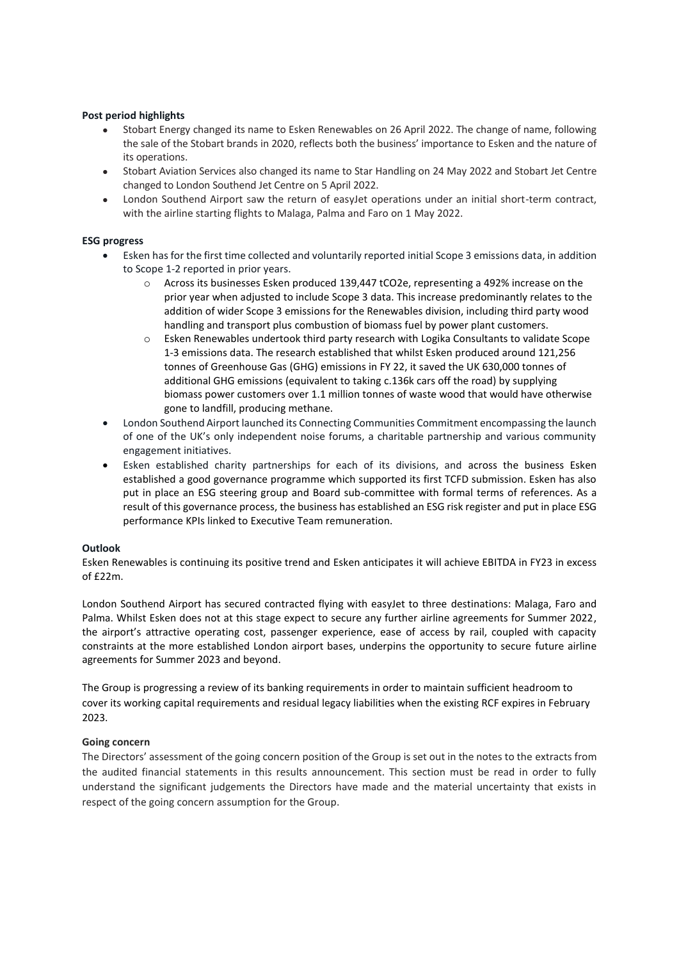## **Post period highlights**

- Stobart Energy changed its name to Esken Renewables on 26 April 2022. The change of name, following the sale of the Stobart brands in 2020, reflects both the business' importance to Esken and the nature of its operations.
- Stobart Aviation Services also changed its name to Star Handling on 24 May 2022 and Stobart Jet Centre changed to London Southend Jet Centre on 5 April 2022.
- London Southend Airport saw the return of easyJet operations under an initial short-term contract, with the airline starting flights to Malaga, Palma and Faro on 1 May 2022.

## **ESG progress**

- Esken has for the first time collected and voluntarily reported initial Scope 3 emissions data, in addition to Scope 1-2 reported in prior years.
	- o Across its businesses Esken produced 139,447 tCO2e, representing a 492% increase on the prior year when adjusted to include Scope 3 data. This increase predominantly relates to the addition of wider Scope 3 emissions for the Renewables division, including third party wood handling and transport plus combustion of biomass fuel by power plant customers.
	- o Esken Renewables undertook third party research with Logika Consultants to validate Scope 1-3 emissions data. The research established that whilst Esken produced around 121,256 tonnes of Greenhouse Gas (GHG) emissions in FY 22, it saved the UK 630,000 tonnes of additional GHG emissions (equivalent to taking c.136k cars off the road) by supplying biomass power customers over 1.1 million tonnes of waste wood that would have otherwise gone to landfill, producing methane.
- London Southend Airport launched its Connecting Communities Commitment encompassing the launch of one of the UK's only independent noise forums, a charitable partnership and various community engagement initiatives.
- Esken established charity partnerships for each of its divisions, and across the business Esken established a good governance programme which supported its first TCFD submission. Esken has also put in place an ESG steering group and Board sub-committee with formal terms of references. As a result of this governance process, the business has established an ESG risk register and put in place ESG performance KPIs linked to Executive Team remuneration.

#### **Outlook**

Esken Renewables is continuing its positive trend and Esken anticipates it will achieve EBITDA in FY23 in excess  $of f22m$ 

London Southend Airport has secured contracted flying with easyJet to three destinations: Malaga, Faro and Palma. Whilst Esken does not at this stage expect to secure any further airline agreements for Summer 2022, the airport's attractive operating cost, passenger experience, ease of access by rail, coupled with capacity constraints at the more established London airport bases, underpins the opportunity to secure future airline agreements for Summer 2023 and beyond.

The Group is progressing a review of its banking requirements in order to maintain sufficient headroom to cover its working capital requirements and residual legacy liabilities when the existing RCF expires in February 2023.

#### **Going concern**

The Directors' assessment of the going concern position of the Group is set out in the notes to the extracts from the audited financial statements in this results announcement. This section must be read in order to fully understand the significant judgements the Directors have made and the material uncertainty that exists in respect of the going concern assumption for the Group.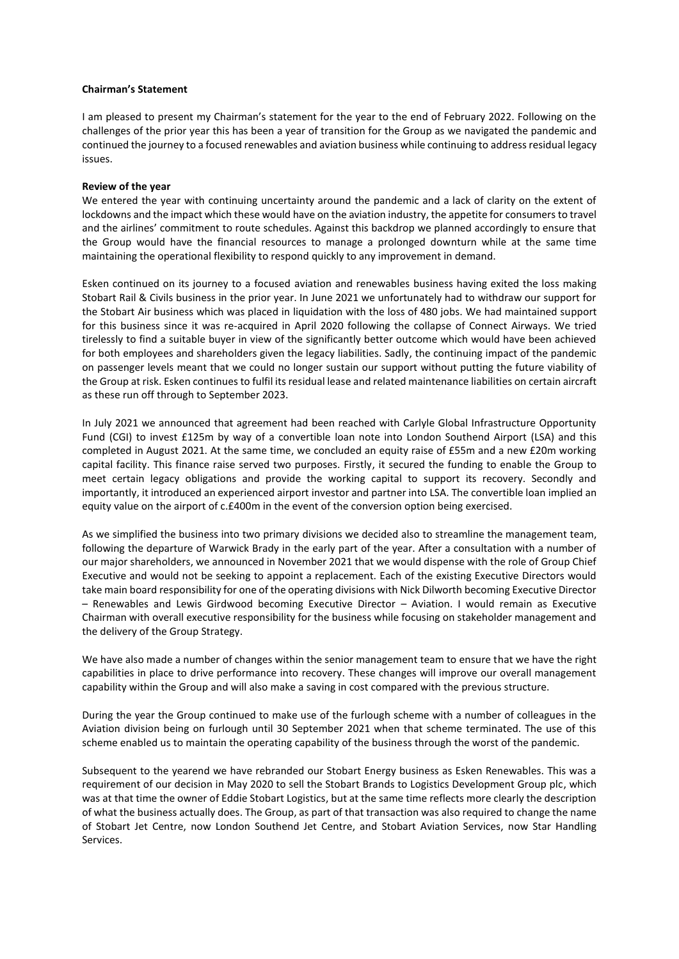## **Chairman's Statement**

I am pleased to present my Chairman's statement for the year to the end of February 2022. Following on the challenges of the prior year this has been a year of transition for the Group as we navigated the pandemic and continued the journey to a focused renewables and aviation business while continuing to address residual legacy issues.

## **Review of the year**

We entered the year with continuing uncertainty around the pandemic and a lack of clarity on the extent of lockdowns and the impact which these would have on the aviation industry, the appetite for consumers to travel and the airlines' commitment to route schedules. Against this backdrop we planned accordingly to ensure that the Group would have the financial resources to manage a prolonged downturn while at the same time maintaining the operational flexibility to respond quickly to any improvement in demand.

Esken continued on its journey to a focused aviation and renewables business having exited the loss making Stobart Rail & Civils business in the prior year. In June 2021 we unfortunately had to withdraw our support for the Stobart Air business which was placed in liquidation with the loss of 480 jobs. We had maintained support for this business since it was re-acquired in April 2020 following the collapse of Connect Airways. We tried tirelessly to find a suitable buyer in view of the significantly better outcome which would have been achieved for both employees and shareholders given the legacy liabilities. Sadly, the continuing impact of the pandemic on passenger levels meant that we could no longer sustain our support without putting the future viability of the Group at risk. Esken continues to fulfil its residual lease and related maintenance liabilities on certain aircraft as these run off through to September 2023.

In July 2021 we announced that agreement had been reached with Carlyle Global Infrastructure Opportunity Fund (CGI) to invest £125m by way of a convertible loan note into London Southend Airport (LSA) and this completed in August 2021. At the same time, we concluded an equity raise of £55m and a new £20m working capital facility. This finance raise served two purposes. Firstly, it secured the funding to enable the Group to meet certain legacy obligations and provide the working capital to support its recovery. Secondly and importantly, it introduced an experienced airport investor and partner into LSA. The convertible loan implied an equity value on the airport of c.£400m in the event of the conversion option being exercised.

As we simplified the business into two primary divisions we decided also to streamline the management team, following the departure of Warwick Brady in the early part of the year. After a consultation with a number of our major shareholders, we announced in November 2021 that we would dispense with the role of Group Chief Executive and would not be seeking to appoint a replacement. Each of the existing Executive Directors would take main board responsibility for one of the operating divisions with Nick Dilworth becoming Executive Director – Renewables and Lewis Girdwood becoming Executive Director – Aviation. I would remain as Executive Chairman with overall executive responsibility for the business while focusing on stakeholder management and the delivery of the Group Strategy.

We have also made a number of changes within the senior management team to ensure that we have the right capabilities in place to drive performance into recovery. These changes will improve our overall management capability within the Group and will also make a saving in cost compared with the previous structure.

During the year the Group continued to make use of the furlough scheme with a number of colleagues in the Aviation division being on furlough until 30 September 2021 when that scheme terminated. The use of this scheme enabled us to maintain the operating capability of the business through the worst of the pandemic.

Subsequent to the yearend we have rebranded our Stobart Energy business as Esken Renewables. This was a requirement of our decision in May 2020 to sell the Stobart Brands to Logistics Development Group plc, which was at that time the owner of Eddie Stobart Logistics, but at the same time reflects more clearly the description of what the business actually does. The Group, as part of that transaction was also required to change the name of Stobart Jet Centre, now London Southend Jet Centre, and Stobart Aviation Services, now Star Handling Services.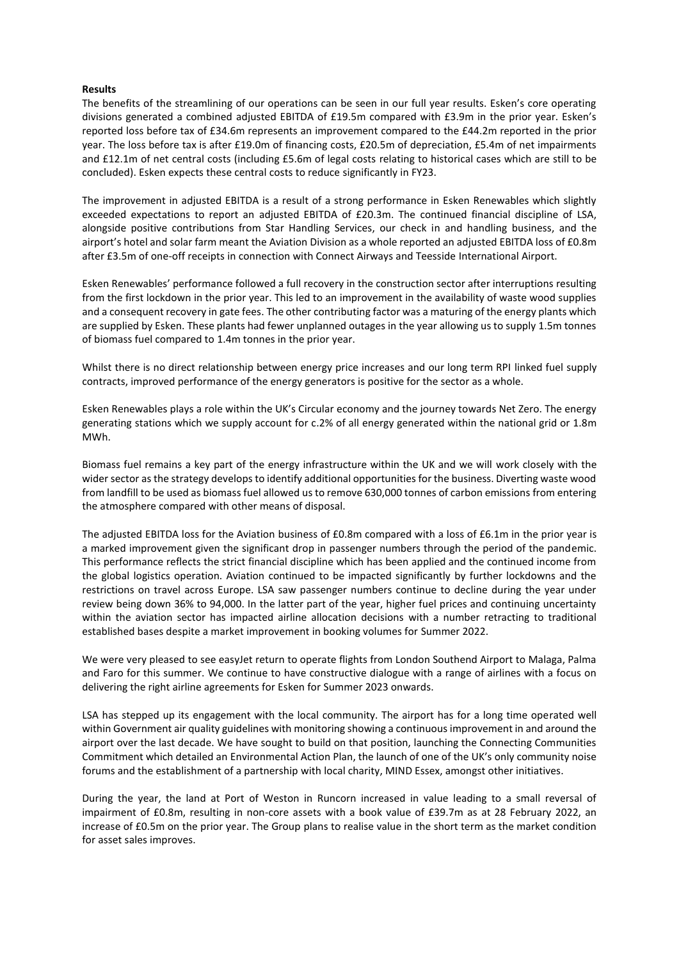## **Results**

The benefits of the streamlining of our operations can be seen in our full year results. Esken's core operating divisions generated a combined adjusted EBITDA of £19.5m compared with £3.9m in the prior year. Esken's reported loss before tax of £34.6m represents an improvement compared to the £44.2m reported in the prior year. The loss before tax is after £19.0m of financing costs, £20.5m of depreciation, £5.4m of net impairments and £12.1m of net central costs (including £5.6m of legal costs relating to historical cases which are still to be concluded). Esken expects these central costs to reduce significantly in FY23.

The improvement in adjusted EBITDA is a result of a strong performance in Esken Renewables which slightly exceeded expectations to report an adjusted EBITDA of £20.3m. The continued financial discipline of LSA, alongside positive contributions from Star Handling Services, our check in and handling business, and the airport's hotel and solar farm meant the Aviation Division as a whole reported an adjusted EBITDA loss of £0.8m after £3.5m of one-off receipts in connection with Connect Airways and Teesside International Airport.

Esken Renewables' performance followed a full recovery in the construction sector after interruptions resulting from the first lockdown in the prior year. This led to an improvement in the availability of waste wood supplies and a consequent recovery in gate fees. The other contributing factor was a maturing of the energy plants which are supplied by Esken. These plants had fewer unplanned outages in the year allowing us to supply 1.5m tonnes of biomass fuel compared to 1.4m tonnes in the prior year.

Whilst there is no direct relationship between energy price increases and our long term RPI linked fuel supply contracts, improved performance of the energy generators is positive for the sector as a whole.

Esken Renewables plays a role within the UK's Circular economy and the journey towards Net Zero. The energy generating stations which we supply account for c.2% of all energy generated within the national grid or 1.8m MWh.

Biomass fuel remains a key part of the energy infrastructure within the UK and we will work closely with the wider sector as the strategy develops to identify additional opportunities for the business. Diverting waste wood from landfill to be used as biomass fuel allowed us to remove 630,000 tonnes of carbon emissions from entering the atmosphere compared with other means of disposal.

The adjusted EBITDA loss for the Aviation business of £0.8m compared with a loss of £6.1m in the prior year is a marked improvement given the significant drop in passenger numbers through the period of the pandemic. This performance reflects the strict financial discipline which has been applied and the continued income from the global logistics operation. Aviation continued to be impacted significantly by further lockdowns and the restrictions on travel across Europe. LSA saw passenger numbers continue to decline during the year under review being down 36% to 94,000. In the latter part of the year, higher fuel prices and continuing uncertainty within the aviation sector has impacted airline allocation decisions with a number retracting to traditional established bases despite a market improvement in booking volumes for Summer 2022.

We were very pleased to see easyJet return to operate flights from London Southend Airport to Malaga, Palma and Faro for this summer. We continue to have constructive dialogue with a range of airlines with a focus on delivering the right airline agreements for Esken for Summer 2023 onwards.

LSA has stepped up its engagement with the local community. The airport has for a long time operated well within Government air quality guidelines with monitoring showing a continuous improvement in and around the airport over the last decade. We have sought to build on that position, launching the Connecting Communities Commitment which detailed an Environmental Action Plan, the launch of one of the UK's only community noise forums and the establishment of a partnership with local charity, MIND Essex, amongst other initiatives.

During the year, the land at Port of Weston in Runcorn increased in value leading to a small reversal of impairment of £0.8m, resulting in non-core assets with a book value of £39.7m as at 28 February 2022, an increase of £0.5m on the prior year. The Group plans to realise value in the short term as the market condition for asset sales improves.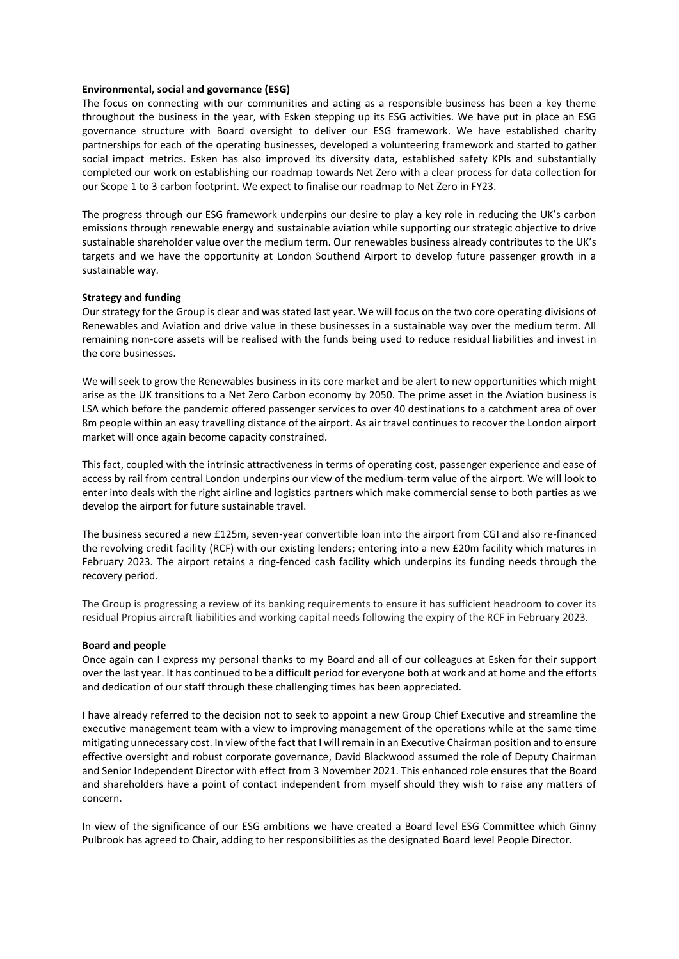#### **Environmental, social and governance (ESG)**

The focus on connecting with our communities and acting as a responsible business has been a key theme throughout the business in the year, with Esken stepping up its ESG activities. We have put in place an ESG governance structure with Board oversight to deliver our ESG framework. We have established charity partnerships for each of the operating businesses, developed a volunteering framework and started to gather social impact metrics. Esken has also improved its diversity data, established safety KPIs and substantially completed our work on establishing our roadmap towards Net Zero with a clear process for data collection for our Scope 1 to 3 carbon footprint. We expect to finalise our roadmap to Net Zero in FY23.

The progress through our ESG framework underpins our desire to play a key role in reducing the UK's carbon emissions through renewable energy and sustainable aviation while supporting our strategic objective to drive sustainable shareholder value over the medium term. Our renewables business already contributes to the UK's targets and we have the opportunity at London Southend Airport to develop future passenger growth in a sustainable way.

#### **Strategy and funding**

Our strategy for the Group is clear and was stated last year. We will focus on the two core operating divisions of Renewables and Aviation and drive value in these businesses in a sustainable way over the medium term. All remaining non-core assets will be realised with the funds being used to reduce residual liabilities and invest in the core businesses.

We will seek to grow the Renewables business in its core market and be alert to new opportunities which might arise as the UK transitions to a Net Zero Carbon economy by 2050. The prime asset in the Aviation business is LSA which before the pandemic offered passenger services to over 40 destinations to a catchment area of over 8m people within an easy travelling distance of the airport. As air travel continues to recover the London airport market will once again become capacity constrained.

This fact, coupled with the intrinsic attractiveness in terms of operating cost, passenger experience and ease of access by rail from central London underpins our view of the medium-term value of the airport. We will look to enter into deals with the right airline and logistics partners which make commercial sense to both parties as we develop the airport for future sustainable travel.

The business secured a new £125m, seven-year convertible loan into the airport from CGI and also re-financed the revolving credit facility (RCF) with our existing lenders; entering into a new £20m facility which matures in February 2023. The airport retains a ring-fenced cash facility which underpins its funding needs through the recovery period.

The Group is progressing a review of its banking requirements to ensure it has sufficient headroom to cover its residual Propius aircraft liabilities and working capital needs following the expiry of the RCF in February 2023.

#### **Board and people**

Once again can I express my personal thanks to my Board and all of our colleagues at Esken for their support over the last year. It has continued to be a difficult period for everyone both at work and at home and the efforts and dedication of our staff through these challenging times has been appreciated.

I have already referred to the decision not to seek to appoint a new Group Chief Executive and streamline the executive management team with a view to improving management of the operations while at the same time mitigating unnecessary cost. In view of the fact that I will remain in an Executive Chairman position and to ensure effective oversight and robust corporate governance, David Blackwood assumed the role of Deputy Chairman and Senior Independent Director with effect from 3 November 2021. This enhanced role ensures that the Board and shareholders have a point of contact independent from myself should they wish to raise any matters of concern.

In view of the significance of our ESG ambitions we have created a Board level ESG Committee which Ginny Pulbrook has agreed to Chair, adding to her responsibilities as the designated Board level People Director.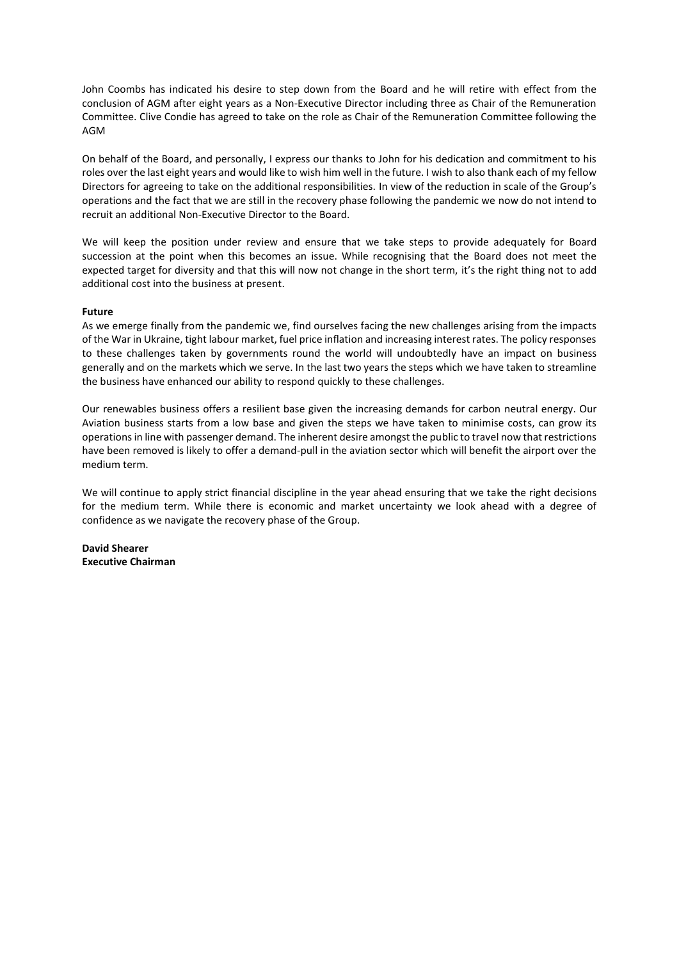John Coombs has indicated his desire to step down from the Board and he will retire with effect from the conclusion of AGM after eight years as a Non-Executive Director including three as Chair of the Remuneration Committee. Clive Condie has agreed to take on the role as Chair of the Remuneration Committee following the AGM

On behalf of the Board, and personally, I express our thanks to John for his dedication and commitment to his roles over the last eight years and would like to wish him well in the future. I wish to also thank each of my fellow Directors for agreeing to take on the additional responsibilities. In view of the reduction in scale of the Group's operations and the fact that we are still in the recovery phase following the pandemic we now do not intend to recruit an additional Non-Executive Director to the Board.

We will keep the position under review and ensure that we take steps to provide adequately for Board succession at the point when this becomes an issue. While recognising that the Board does not meet the expected target for diversity and that this will now not change in the short term, it's the right thing not to add additional cost into the business at present.

## **Future**

As we emerge finally from the pandemic we, find ourselves facing the new challenges arising from the impacts of the War in Ukraine, tight labour market, fuel price inflation and increasing interest rates. The policy responses to these challenges taken by governments round the world will undoubtedly have an impact on business generally and on the markets which we serve. In the last two years the steps which we have taken to streamline the business have enhanced our ability to respond quickly to these challenges.

Our renewables business offers a resilient base given the increasing demands for carbon neutral energy. Our Aviation business starts from a low base and given the steps we have taken to minimise costs, can grow its operations in line with passenger demand. The inherent desire amongst the public to travel now that restrictions have been removed is likely to offer a demand-pull in the aviation sector which will benefit the airport over the medium term.

We will continue to apply strict financial discipline in the year ahead ensuring that we take the right decisions for the medium term. While there is economic and market uncertainty we look ahead with a degree of confidence as we navigate the recovery phase of the Group.

**David Shearer Executive Chairman**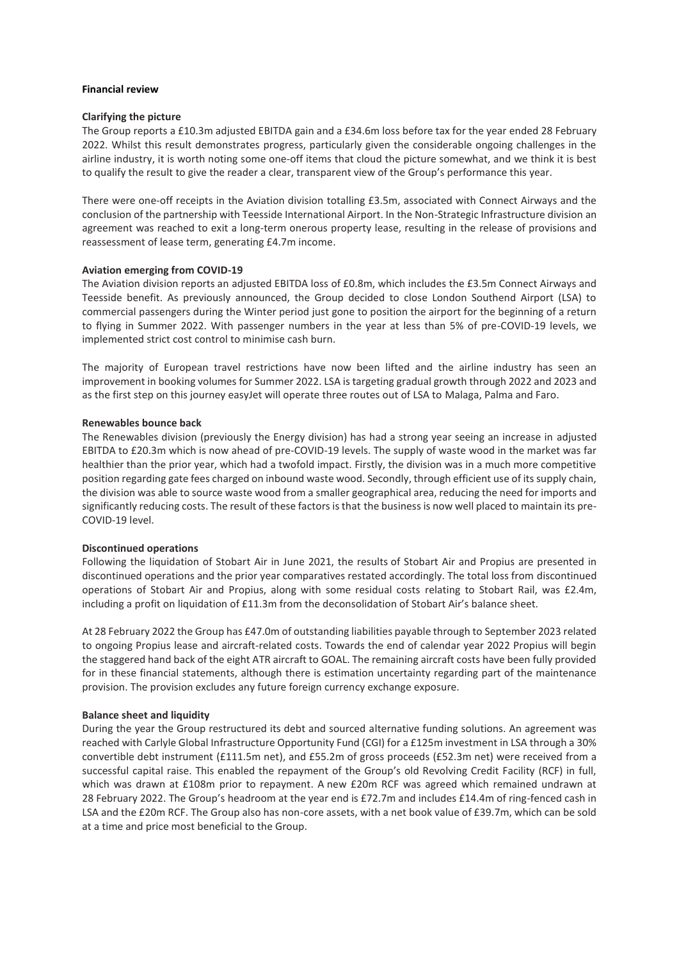## **Financial review**

## **Clarifying the picture**

The Group reports a £10.3m adjusted EBITDA gain and a £34.6m loss before tax for the year ended 28 February 2022. Whilst this result demonstrates progress, particularly given the considerable ongoing challenges in the airline industry, it is worth noting some one-off items that cloud the picture somewhat, and we think it is best to qualify the result to give the reader a clear, transparent view of the Group's performance this year.

There were one-off receipts in the Aviation division totalling £3.5m, associated with Connect Airways and the conclusion of the partnership with Teesside International Airport. In the Non-Strategic Infrastructure division an agreement was reached to exit a long-term onerous property lease, resulting in the release of provisions and reassessment of lease term, generating £4.7m income.

## **Aviation emerging from COVID-19**

The Aviation division reports an adjusted EBITDA loss of £0.8m, which includes the £3.5m Connect Airways and Teesside benefit. As previously announced, the Group decided to close London Southend Airport (LSA) to commercial passengers during the Winter period just gone to position the airport for the beginning of a return to flying in Summer 2022. With passenger numbers in the year at less than 5% of pre-COVID-19 levels, we implemented strict cost control to minimise cash burn.

The majority of European travel restrictions have now been lifted and the airline industry has seen an improvement in booking volumes for Summer 2022. LSA is targeting gradual growth through 2022 and 2023 and as the first step on this journey easyJet will operate three routes out of LSA to Malaga, Palma and Faro.

#### **Renewables bounce back**

The Renewables division (previously the Energy division) has had a strong year seeing an increase in adjusted EBITDA to £20.3m which is now ahead of pre-COVID-19 levels. The supply of waste wood in the market was far healthier than the prior year, which had a twofold impact. Firstly, the division was in a much more competitive position regarding gate fees charged on inbound waste wood. Secondly, through efficient use of its supply chain, the division was able to source waste wood from a smaller geographical area, reducing the need for imports and significantly reducing costs. The result of these factors is that the business is now well placed to maintain its pre-COVID-19 level.

#### **Discontinued operations**

Following the liquidation of Stobart Air in June 2021, the results of Stobart Air and Propius are presented in discontinued operations and the prior year comparatives restated accordingly. The total loss from discontinued operations of Stobart Air and Propius, along with some residual costs relating to Stobart Rail, was £2.4m, including a profit on liquidation of £11.3m from the deconsolidation of Stobart Air's balance sheet.

At 28 February 2022 the Group has £47.0m of outstanding liabilities payable through to September 2023 related to ongoing Propius lease and aircraft-related costs. Towards the end of calendar year 2022 Propius will begin the staggered hand back of the eight ATR aircraft to GOAL. The remaining aircraft costs have been fully provided for in these financial statements, although there is estimation uncertainty regarding part of the maintenance provision. The provision excludes any future foreign currency exchange exposure.

#### **Balance sheet and liquidity**

During the year the Group restructured its debt and sourced alternative funding solutions. An agreement was reached with Carlyle Global Infrastructure Opportunity Fund (CGI) for a £125m investment in LSA through a 30% convertible debt instrument (£111.5m net), and £55.2m of gross proceeds (£52.3m net) were received from a successful capital raise. This enabled the repayment of the Group's old Revolving Credit Facility (RCF) in full, which was drawn at £108m prior to repayment. A new £20m RCF was agreed which remained undrawn at 28 February 2022. The Group's headroom at the year end is £72.7m and includes £14.4m of ring-fenced cash in LSA and the £20m RCF. The Group also has non-core assets, with a net book value of £39.7m, which can be sold at a time and price most beneficial to the Group.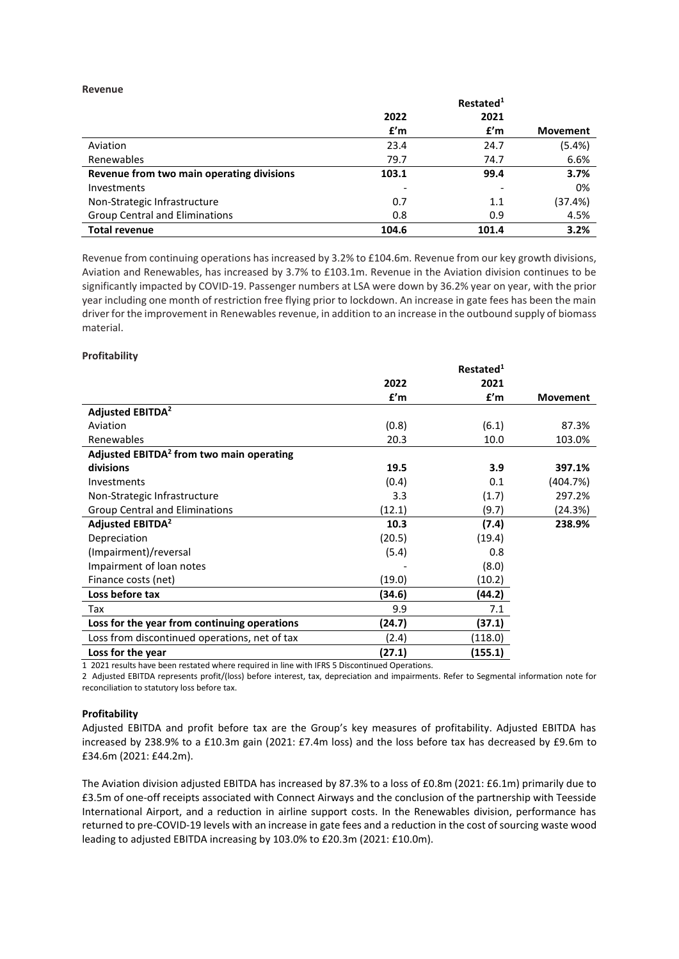#### **Revenue**

|                                           |       | Restated <sup>1</sup> |                 |
|-------------------------------------------|-------|-----------------------|-----------------|
|                                           | 2022  | 2021                  |                 |
|                                           | f'm   | f'm                   | <b>Movement</b> |
| Aviation                                  | 23.4  | 24.7                  | (5.4%)          |
| Renewables                                | 79.7  | 74.7                  | 6.6%            |
| Revenue from two main operating divisions | 103.1 | 99.4                  | 3.7%            |
| <b>Investments</b>                        |       |                       | 0%              |
| Non-Strategic Infrastructure              | 0.7   | 1.1                   | (37.4%)         |
| <b>Group Central and Eliminations</b>     | 0.8   | 0.9                   | 4.5%            |
| <b>Total revenue</b>                      | 104.6 | 101.4                 | 3.2%            |

Revenue from continuing operations has increased by 3.2% to £104.6m. Revenue from our key growth divisions, Aviation and Renewables, has increased by 3.7% to £103.1m. Revenue in the Aviation division continues to be significantly impacted by COVID-19. Passenger numbers at LSA were down by 36.2% year on year, with the prior year including one month of restriction free flying prior to lockdown. An increase in gate fees has been the main driver for the improvement in Renewables revenue, in addition to an increase in the outbound supply of biomass material.

## **Profitability**

|                                                      |        | Restated <sup>1</sup> |                 |
|------------------------------------------------------|--------|-----------------------|-----------------|
|                                                      | 2022   | 2021                  |                 |
|                                                      | f'm    | f'm                   | <b>Movement</b> |
| <b>Adjusted EBITDA<sup>2</sup></b>                   |        |                       |                 |
| Aviation                                             | (0.8)  | (6.1)                 | 87.3%           |
| Renewables                                           | 20.3   | 10.0                  | 103.0%          |
| Adjusted EBITDA <sup>2</sup> from two main operating |        |                       |                 |
| divisions                                            | 19.5   | 3.9                   | 397.1%          |
| Investments                                          | (0.4)  | 0.1                   | (404.7%)        |
| Non-Strategic Infrastructure                         | 3.3    | (1.7)                 | 297.2%          |
| <b>Group Central and Eliminations</b>                | (12.1) | (9.7)                 | (24.3%)         |
| Adjusted EBITDA <sup>2</sup>                         | 10.3   | (7.4)                 | 238.9%          |
| Depreciation                                         | (20.5) | (19.4)                |                 |
| (Impairment)/reversal                                | (5.4)  | 0.8                   |                 |
| Impairment of loan notes                             |        | (8.0)                 |                 |
| Finance costs (net)                                  | (19.0) | (10.2)                |                 |
| Loss before tax                                      | (34.6) | (44.2)                |                 |
| Tax                                                  | 9.9    | 7.1                   |                 |
| Loss for the year from continuing operations         | (24.7) | (37.1)                |                 |
| Loss from discontinued operations, net of tax        | (2.4)  | (118.0)               |                 |
| Loss for the year                                    | (27.1) | (155.1)               |                 |

1 2021 results have been restated where required in line with IFRS 5 Discontinued Operations.

2 Adjusted EBITDA represents profit/(loss) before interest, tax, depreciation and impairments. Refer to Segmental information note for reconciliation to statutory loss before tax.

## **Profitability**

Adjusted EBITDA and profit before tax are the Group's key measures of profitability. Adjusted EBITDA has increased by 238.9% to a £10.3m gain (2021: £7.4m loss) and the loss before tax has decreased by £9.6m to £34.6m (2021: £44.2m).

The Aviation division adjusted EBITDA has increased by 87.3% to a loss of £0.8m (2021: £6.1m) primarily due to £3.5m of one-off receipts associated with Connect Airways and the conclusion of the partnership with Teesside International Airport, and a reduction in airline support costs. In the Renewables division, performance has returned to pre-COVID-19 levels with an increase in gate fees and a reduction in the cost of sourcing waste wood leading to adjusted EBITDA increasing by 103.0% to £20.3m (2021: £10.0m).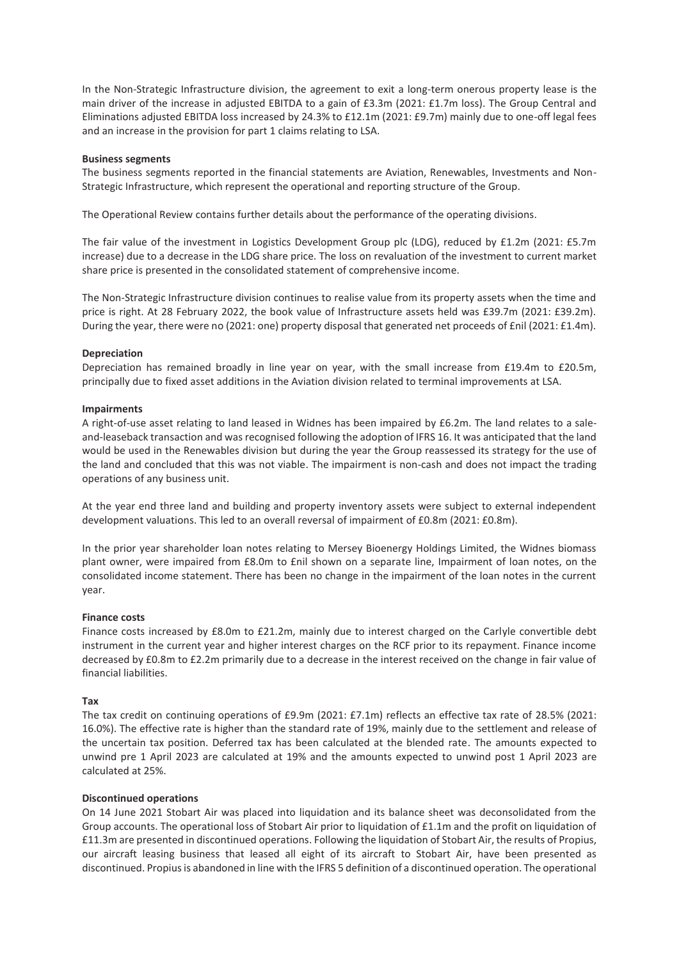In the Non-Strategic Infrastructure division, the agreement to exit a long-term onerous property lease is the main driver of the increase in adjusted EBITDA to a gain of £3.3m (2021: £1.7m loss). The Group Central and Eliminations adjusted EBITDA loss increased by 24.3% to £12.1m (2021: £9.7m) mainly due to one-off legal fees and an increase in the provision for part 1 claims relating to LSA.

#### **Business segments**

The business segments reported in the financial statements are Aviation, Renewables, Investments and Non-Strategic Infrastructure, which represent the operational and reporting structure of the Group.

The Operational Review contains further details about the performance of the operating divisions.

The fair value of the investment in Logistics Development Group plc (LDG), reduced by £1.2m (2021: £5.7m increase) due to a decrease in the LDG share price. The loss on revaluation of the investment to current market share price is presented in the consolidated statement of comprehensive income.

The Non-Strategic Infrastructure division continues to realise value from its property assets when the time and price is right. At 28 February 2022, the book value of Infrastructure assets held was £39.7m (2021: £39.2m). During the year, there were no (2021: one) property disposal that generated net proceeds of £nil (2021: £1.4m).

## **Depreciation**

Depreciation has remained broadly in line year on year, with the small increase from £19.4m to £20.5m, principally due to fixed asset additions in the Aviation division related to terminal improvements at LSA.

#### **Impairments**

A right-of-use asset relating to land leased in Widnes has been impaired by £6.2m. The land relates to a saleand-leaseback transaction and was recognised following the adoption of IFRS 16. It was anticipated that the land would be used in the Renewables division but during the year the Group reassessed its strategy for the use of the land and concluded that this was not viable. The impairment is non-cash and does not impact the trading operations of any business unit.

At the year end three land and building and property inventory assets were subject to external independent development valuations. This led to an overall reversal of impairment of £0.8m (2021: £0.8m).

In the prior year shareholder loan notes relating to Mersey Bioenergy Holdings Limited, the Widnes biomass plant owner, were impaired from £8.0m to £nil shown on a separate line, Impairment of loan notes, on the consolidated income statement. There has been no change in the impairment of the loan notes in the current year.

## **Finance costs**

Finance costs increased by £8.0m to £21.2m, mainly due to interest charged on the Carlyle convertible debt instrument in the current year and higher interest charges on the RCF prior to its repayment. Finance income decreased by £0.8m to £2.2m primarily due to a decrease in the interest received on the change in fair value of financial liabilities.

#### **Tax**

The tax credit on continuing operations of £9.9m (2021: £7.1m) reflects an effective tax rate of 28.5% (2021: 16.0%). The effective rate is higher than the standard rate of 19%, mainly due to the settlement and release of the uncertain tax position. Deferred tax has been calculated at the blended rate. The amounts expected to unwind pre 1 April 2023 are calculated at 19% and the amounts expected to unwind post 1 April 2023 are calculated at 25%.

#### **Discontinued operations**

On 14 June 2021 Stobart Air was placed into liquidation and its balance sheet was deconsolidated from the Group accounts. The operational loss of Stobart Air prior to liquidation of £1.1m and the profit on liquidation of £11.3m are presented in discontinued operations. Following the liquidation of Stobart Air, the results of Propius, our aircraft leasing business that leased all eight of its aircraft to Stobart Air, have been presented as discontinued. Propius is abandoned in line with the IFRS 5 definition of a discontinued operation. The operational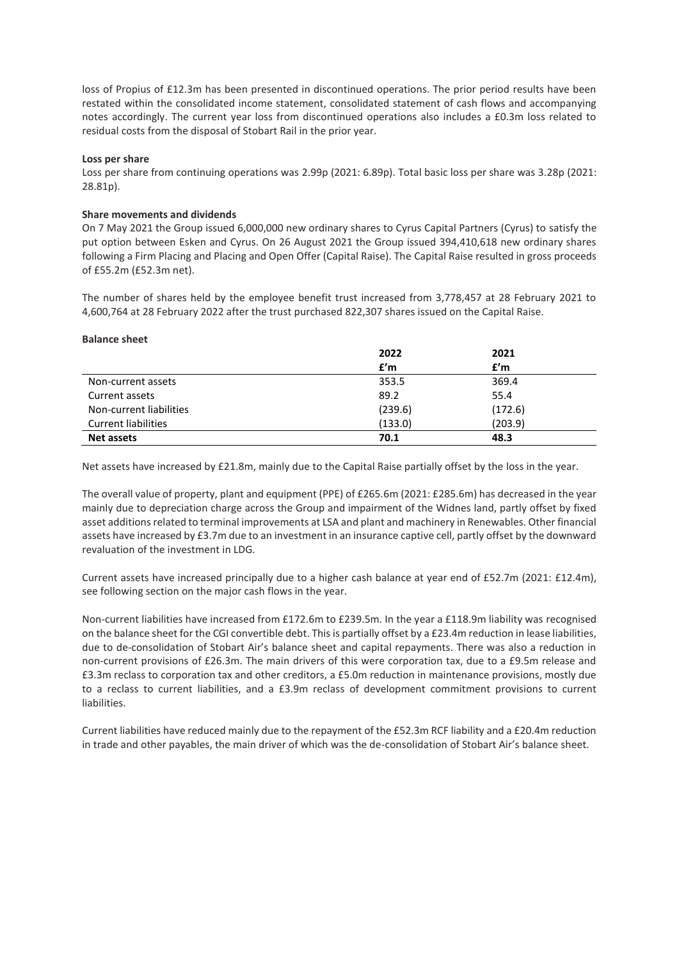loss of Propius of £12.3m has been presented in discontinued operations. The prior period results have been restated within the consolidated income statement, consolidated statement of cash flows and accompanying notes accordingly. The current year loss from discontinued operations also includes a £0.3m loss related to residual costs from the disposal of Stobart Rail in the prior year.

#### **Loss per share**

Loss per share from continuing operations was 2.99p (2021: 6.89p). Total basic loss per share was 3.28p (2021: 28.81p).

#### **Share movements and dividends**

On 7 May 2021 the Group issued 6,000,000 new ordinary shares to Cyrus Capital Partners (Cyrus) to satisfy the put option between Esken and Cyrus. On 26 August 2021 the Group issued 394,410,618 new ordinary shares following a Firm Placing and Placing and Open Offer (Capital Raise). The Capital Raise resulted in gross proceeds of £55.2m (£52.3m net).

The number of shares held by the employee benefit trust increased from 3,778,457 at 28 February 2021 to 4,600,764 at 28 February 2022 after the trust purchased 822,307 shares issued on the Capital Raise.

| <b>Balance sheet</b>       |         |         |  |
|----------------------------|---------|---------|--|
|                            | 2022    | 2021    |  |
|                            | f'm     | f'm     |  |
| Non-current assets         | 353.5   | 369.4   |  |
| Current assets             | 89.2    | 55.4    |  |
| Non-current liabilities    | (239.6) | (172.6) |  |
| <b>Current liabilities</b> | (133.0) | (203.9) |  |
| <b>Net assets</b>          | 70.1    | 48.3    |  |

Net assets have increased by £21.8m, mainly due to the Capital Raise partially offset by the loss in the year.

The overall value of property, plant and equipment (PPE) of £265.6m (2021: £285.6m) has decreased in the year mainly due to depreciation charge across the Group and impairment of the Widnes land, partly offset by fixed asset additions related to terminal improvements at LSA and plant and machinery in Renewables. Other financial assets have increased by £3.7m due to an investment in an insurance captive cell, partly offset by the downward revaluation of the investment in LDG.

Current assets have increased principally due to a higher cash balance at year end of £52.7m (2021: £12.4m), see following section on the major cash flows in the year.

Non-current liabilities have increased from £172.6m to £239.5m. In the year a £118.9m liability was recognised on the balance sheet for the CGI convertible debt. This is partially offset by a £23.4m reduction in lease liabilities, due to de-consolidation of Stobart Air's balance sheet and capital repayments. There was also a reduction in non-current provisions of £26.3m. The main drivers of this were corporation tax, due to a £9.5m release and £3.3m reclass to corporation tax and other creditors, a £5.0m reduction in maintenance provisions, mostly due to a reclass to current liabilities, and a £3.9m reclass of development commitment provisions to current liabilities.

Current liabilities have reduced mainly due to the repayment of the £52.3m RCF liability and a £20.4m reduction in trade and other payables, the main driver of which was the de-consolidation of Stobart Air's balance sheet.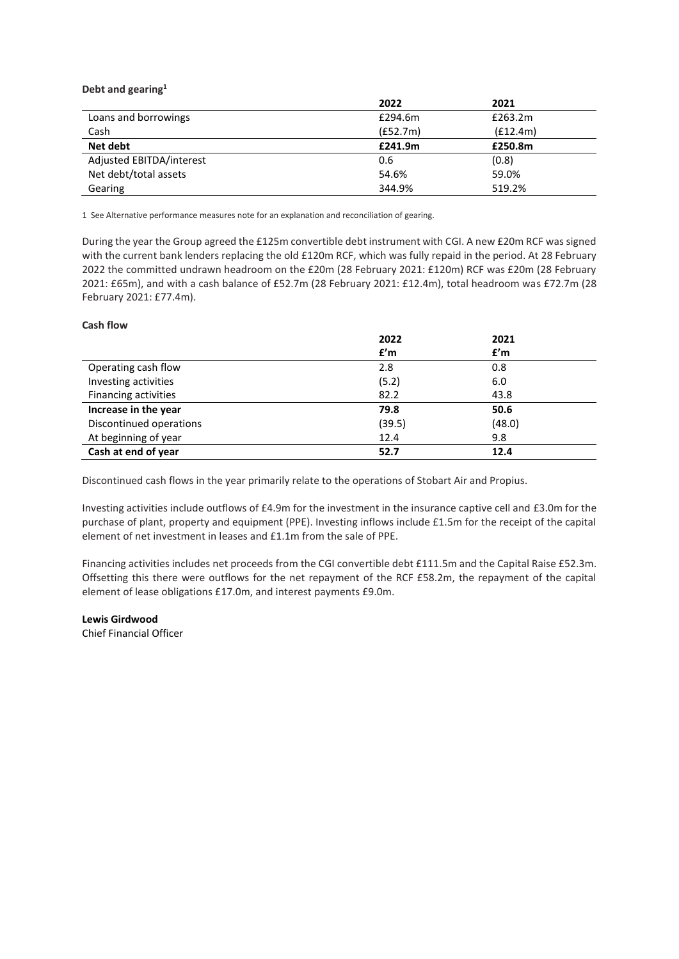**Debt and gearing<sup>1</sup>**

|                          | 2022     | 2021     |  |
|--------------------------|----------|----------|--|
| Loans and borrowings     | £294.6m  | £263.2m  |  |
| Cash                     | (E52.7m) | (f12.4m) |  |
| Net debt                 | £241.9m  | £250.8m  |  |
| Adjusted EBITDA/interest | 0.6      | (0.8)    |  |
| Net debt/total assets    | 54.6%    | 59.0%    |  |
| Gearing                  | 344.9%   | 519.2%   |  |

1 See Alternative performance measures note for an explanation and reconciliation of gearing.

During the year the Group agreed the £125m convertible debt instrument with CGI. A new £20m RCF was signed with the current bank lenders replacing the old £120m RCF, which was fully repaid in the period. At 28 February 2022 the committed undrawn headroom on the £20m (28 February 2021: £120m) RCF was £20m (28 February 2021: £65m), and with a cash balance of £52.7m (28 February 2021: £12.4m), total headroom was £72.7m (28 February 2021: £77.4m).

## **Cash flow**

|                         | 2022   | 2021   |
|-------------------------|--------|--------|
|                         | f'm    | f'm    |
| Operating cash flow     | 2.8    | 0.8    |
| Investing activities    | (5.2)  | 6.0    |
| Financing activities    | 82.2   | 43.8   |
| Increase in the year    | 79.8   | 50.6   |
| Discontinued operations | (39.5) | (48.0) |
| At beginning of year    | 12.4   | 9.8    |
| Cash at end of year     | 52.7   | 12.4   |

Discontinued cash flows in the year primarily relate to the operations of Stobart Air and Propius.

Investing activities include outflows of £4.9m for the investment in the insurance captive cell and £3.0m for the purchase of plant, property and equipment (PPE). Investing inflows include £1.5m for the receipt of the capital element of net investment in leases and £1.1m from the sale of PPE.

Financing activities includes net proceeds from the CGI convertible debt £111.5m and the Capital Raise £52.3m. Offsetting this there were outflows for the net repayment of the RCF £58.2m, the repayment of the capital element of lease obligations £17.0m, and interest payments £9.0m.

**Lewis Girdwood**

Chief Financial Officer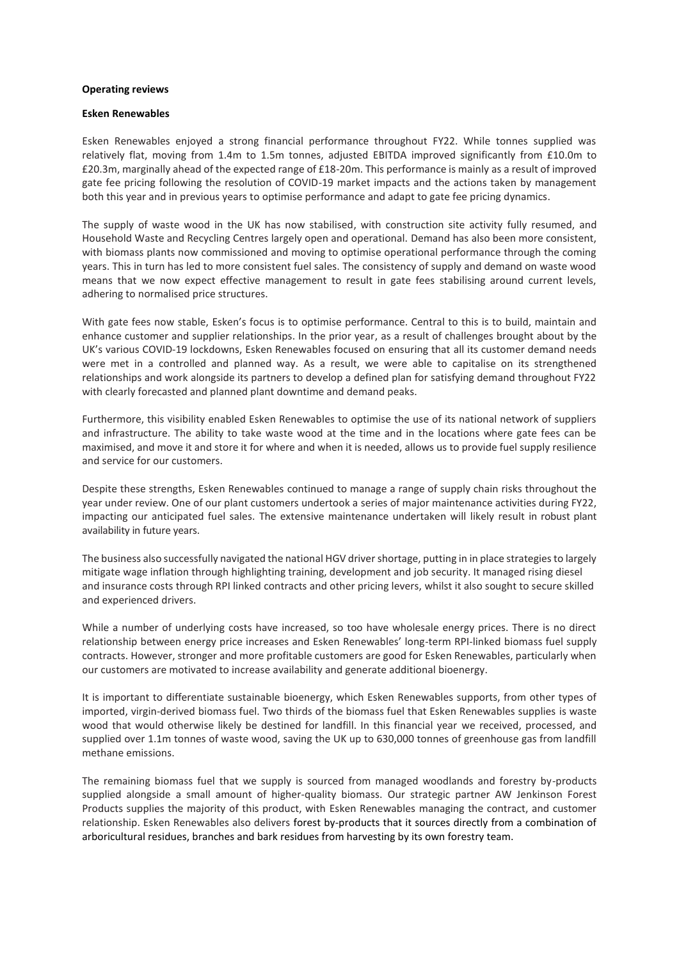#### **Operating reviews**

## **Esken Renewables**

Esken Renewables enjoyed a strong financial performance throughout FY22. While tonnes supplied was relatively flat, moving from 1.4m to 1.5m tonnes, adjusted EBITDA improved significantly from £10.0m to £20.3m, marginally ahead of the expected range of £18-20m. This performance is mainly as a result of improved gate fee pricing following the resolution of COVID-19 market impacts and the actions taken by management both this year and in previous years to optimise performance and adapt to gate fee pricing dynamics.

The supply of waste wood in the UK has now stabilised, with construction site activity fully resumed, and Household Waste and Recycling Centres largely open and operational. Demand has also been more consistent, with biomass plants now commissioned and moving to optimise operational performance through the coming years. This in turn has led to more consistent fuel sales. The consistency of supply and demand on waste wood means that we now expect effective management to result in gate fees stabilising around current levels, adhering to normalised price structures.

With gate fees now stable, Esken's focus is to optimise performance. Central to this is to build, maintain and enhance customer and supplier relationships. In the prior year, as a result of challenges brought about by the UK's various COVID-19 lockdowns, Esken Renewables focused on ensuring that all its customer demand needs were met in a controlled and planned way. As a result, we were able to capitalise on its strengthened relationships and work alongside its partners to develop a defined plan for satisfying demand throughout FY22 with clearly forecasted and planned plant downtime and demand peaks.

Furthermore, this visibility enabled Esken Renewables to optimise the use of its national network of suppliers and infrastructure. The ability to take waste wood at the time and in the locations where gate fees can be maximised, and move it and store it for where and when it is needed, allows us to provide fuel supply resilience and service for our customers.

Despite these strengths, Esken Renewables continued to manage a range of supply chain risks throughout the year under review. One of our plant customers undertook a series of major maintenance activities during FY22, impacting our anticipated fuel sales. The extensive maintenance undertaken will likely result in robust plant availability in future years.

The business also successfully navigated the national HGV driver shortage, putting in in place strategies to largely mitigate wage inflation through highlighting training, development and job security. It managed rising diesel and insurance costs through RPI linked contracts and other pricing levers, whilst it also sought to secure skilled and experienced drivers.

While a number of underlying costs have increased, so too have wholesale energy prices. There is no direct relationship between energy price increases and Esken Renewables' long-term RPI-linked biomass fuel supply contracts. However, stronger and more profitable customers are good for Esken Renewables, particularly when our customers are motivated to increase availability and generate additional bioenergy.

It is important to differentiate sustainable bioenergy, which Esken Renewables supports, from other types of imported, virgin-derived biomass fuel. Two thirds of the biomass fuel that Esken Renewables supplies is waste wood that would otherwise likely be destined for landfill. In this financial year we received, processed, and supplied over 1.1m tonnes of waste wood, saving the UK up to 630,000 tonnes of greenhouse gas from landfill methane emissions.

The remaining biomass fuel that we supply is sourced from managed woodlands and forestry by-products supplied alongside a small amount of higher-quality biomass. Our strategic partner AW Jenkinson Forest Products supplies the majority of this product, with Esken Renewables managing the contract, and customer relationship. Esken Renewables also delivers forest by-products that it sources directly from a combination of arboricultural residues, branches and bark residues from harvesting by its own forestry team.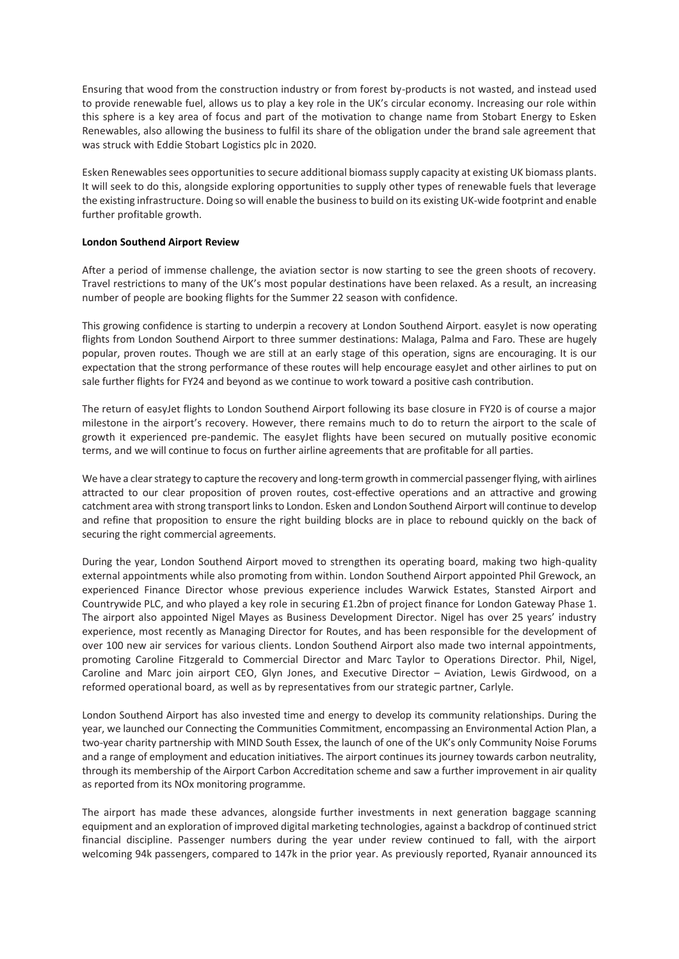Ensuring that wood from the construction industry or from forest by-products is not wasted, and instead used to provide renewable fuel, allows us to play a key role in the UK's circular economy. Increasing our role within this sphere is a key area of focus and part of the motivation to change name from Stobart Energy to Esken Renewables, also allowing the business to fulfil its share of the obligation under the brand sale agreement that was struck with Eddie Stobart Logistics plc in 2020.

Esken Renewables sees opportunities to secure additional biomass supply capacity at existing UK biomass plants. It will seek to do this, alongside exploring opportunities to supply other types of renewable fuels that leverage the existing infrastructure. Doing so will enable the business to build on its existing UK-wide footprint and enable further profitable growth.

## **London Southend Airport Review**

After a period of immense challenge, the aviation sector is now starting to see the green shoots of recovery. Travel restrictions to many of the UK's most popular destinations have been relaxed. As a result, an increasing number of people are booking flights for the Summer 22 season with confidence.

This growing confidence is starting to underpin a recovery at London Southend Airport. easyJet is now operating flights from London Southend Airport to three summer destinations: Malaga, Palma and Faro. These are hugely popular, proven routes. Though we are still at an early stage of this operation, signs are encouraging. It is our expectation that the strong performance of these routes will help encourage easyJet and other airlines to put on sale further flights for FY24 and beyond as we continue to work toward a positive cash contribution.

The return of easyJet flights to London Southend Airport following its base closure in FY20 is of course a major milestone in the airport's recovery. However, there remains much to do to return the airport to the scale of growth it experienced pre-pandemic. The easyJet flights have been secured on mutually positive economic terms, and we will continue to focus on further airline agreements that are profitable for all parties.

We have a clear strategy to capture the recovery and long-term growth in commercial passenger flying, with airlines attracted to our clear proposition of proven routes, cost-effective operations and an attractive and growing catchment area with strong transport links to London. Esken and London Southend Airport will continue to develop and refine that proposition to ensure the right building blocks are in place to rebound quickly on the back of securing the right commercial agreements.

During the year, London Southend Airport moved to strengthen its operating board, making two high-quality external appointments while also promoting from within. London Southend Airport appointed Phil Grewock, an experienced Finance Director whose previous experience includes Warwick Estates, Stansted Airport and Countrywide PLC, and who played a key role in securing £1.2bn of project finance for London Gateway Phase 1. The airport also appointed Nigel Mayes as Business Development Director. Nigel has over 25 years' industry experience, most recently as Managing Director for Routes, and has been responsible for the development of over 100 new air services for various clients. London Southend Airport also made two internal appointments, promoting Caroline Fitzgerald to Commercial Director and Marc Taylor to Operations Director. Phil, Nigel, Caroline and Marc join airport CEO, Glyn Jones, and Executive Director – Aviation, Lewis Girdwood, on a reformed operational board, as well as by representatives from our strategic partner, Carlyle.

London Southend Airport has also invested time and energy to develop its community relationships. During the year, we launched our Connecting the Communities Commitment, encompassing an Environmental Action Plan, a two-year charity partnership with MIND South Essex, the launch of one of the UK's only Community Noise Forums and a range of employment and education initiatives. The airport continues its journey towards carbon neutrality, through its membership of the Airport Carbon Accreditation scheme and saw a further improvement in air quality as reported from its NOx monitoring programme.

The airport has made these advances, alongside further investments in next generation baggage scanning equipment and an exploration of improved digital marketing technologies, against a backdrop of continued strict financial discipline. Passenger numbers during the year under review continued to fall, with the airport welcoming 94k passengers, compared to 147k in the prior year. As previously reported, Ryanair announced its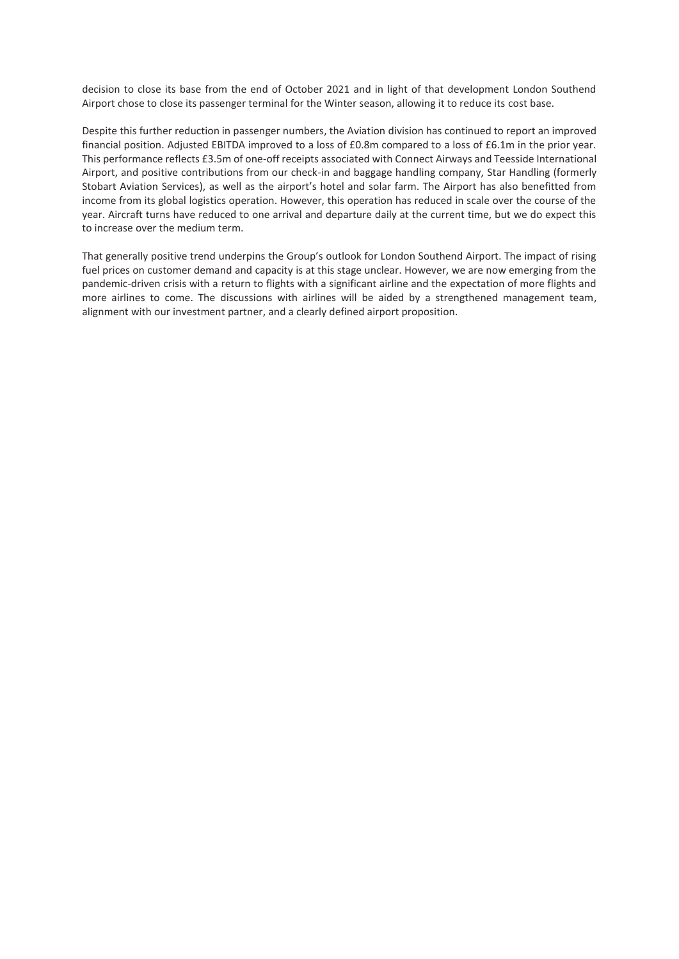decision to close its base from the end of October 2021 and in light of that development London Southend Airport chose to close its passenger terminal for the Winter season, allowing it to reduce its cost base.

Despite this further reduction in passenger numbers, the Aviation division has continued to report an improved financial position. Adjusted EBITDA improved to a loss of £0.8m compared to a loss of £6.1m in the prior year. This performance reflects £3.5m of one-off receipts associated with Connect Airways and Teesside International Airport, and positive contributions from our check-in and baggage handling company, Star Handling (formerly Stobart Aviation Services), as well as the airport's hotel and solar farm. The Airport has also benefitted from income from its global logistics operation. However, this operation has reduced in scale over the course of the year. Aircraft turns have reduced to one arrival and departure daily at the current time, but we do expect this to increase over the medium term.

That generally positive trend underpins the Group's outlook for London Southend Airport. The impact of rising fuel prices on customer demand and capacity is at this stage unclear. However, we are now emerging from the pandemic-driven crisis with a return to flights with a significant airline and the expectation of more flights and more airlines to come. The discussions with airlines will be aided by a strengthened management team, alignment with our investment partner, and a clearly defined airport proposition.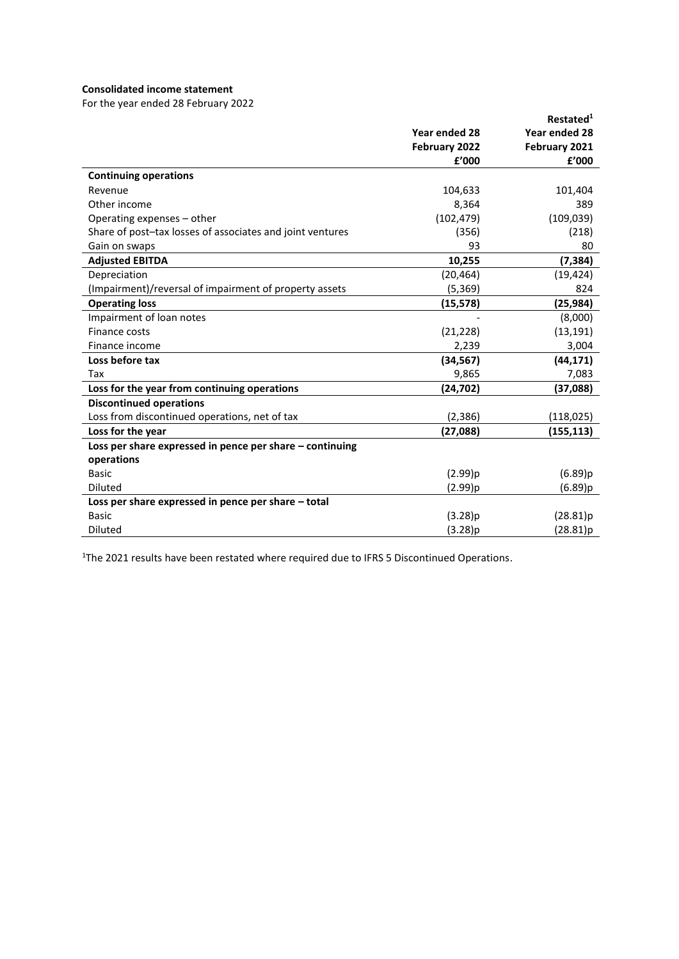## **Consolidated income statement**

For the year ended 28 February 2022

|                                                           |               | Restated <sup>1</sup> |
|-----------------------------------------------------------|---------------|-----------------------|
|                                                           | Year ended 28 | Year ended 28         |
|                                                           | February 2022 | February 2021         |
|                                                           | £'000         | £'000                 |
| <b>Continuing operations</b>                              |               |                       |
| Revenue                                                   | 104,633       | 101,404               |
| Other income                                              | 8,364         | 389                   |
| Operating expenses – other                                | (102, 479)    | (109, 039)            |
| Share of post-tax losses of associates and joint ventures | (356)         | (218)                 |
| Gain on swaps                                             | 93            | 80                    |
| <b>Adjusted EBITDA</b>                                    | 10,255        | (7, 384)              |
| Depreciation                                              | (20, 464)     | (19, 424)             |
| (Impairment)/reversal of impairment of property assets    | (5, 369)      | 824                   |
| <b>Operating loss</b>                                     | (15, 578)     | (25,984)              |
| Impairment of loan notes                                  |               | (8,000)               |
| Finance costs                                             | (21, 228)     | (13, 191)             |
| Finance income                                            | 2,239         | 3,004                 |
| Loss before tax                                           | (34, 567)     | (44, 171)             |
| Tax                                                       | 9,865         | 7,083                 |
| Loss for the year from continuing operations              | (24, 702)     | (37,088)              |
| <b>Discontinued operations</b>                            |               |                       |
| Loss from discontinued operations, net of tax             | (2,386)       | (118,025)             |
| Loss for the year                                         | (27,088)      | (155,113)             |
| Loss per share expressed in pence per share - continuing  |               |                       |
| operations                                                |               |                       |
| <b>Basic</b>                                              | (2.99)p       | (6.89)p               |
| <b>Diluted</b>                                            | (2.99)p       | (6.89)p               |
| Loss per share expressed in pence per share - total       |               |                       |
| <b>Basic</b>                                              | (3.28)p       | (28.81)p              |
| Diluted                                                   | (3.28)p       | (28.81)p              |

<sup>1</sup>The 2021 results have been restated where required due to IFRS 5 Discontinued Operations.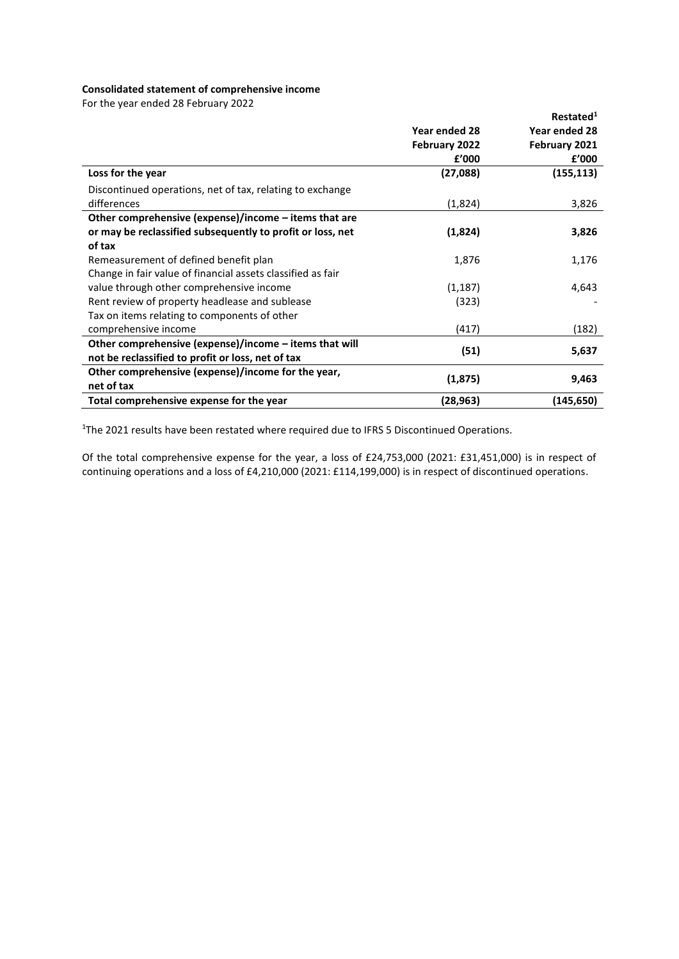## **Consolidated statement of comprehensive income**

For the year ended 28 February 2022

|                                                             |               | Restated <sup>1</sup> |
|-------------------------------------------------------------|---------------|-----------------------|
|                                                             | Year ended 28 | Year ended 28         |
|                                                             | February 2022 | February 2021         |
|                                                             | £'000         | £'000                 |
| Loss for the year                                           | (27,088)      | (155, 113)            |
| Discontinued operations, net of tax, relating to exchange   |               |                       |
| differences                                                 | (1,824)       | 3,826                 |
| Other comprehensive (expense)/income – items that are       |               |                       |
| or may be reclassified subsequently to profit or loss, net  | (1,824)       | 3,826                 |
| of tax                                                      |               |                       |
| Remeasurement of defined benefit plan                       | 1,876         | 1,176                 |
| Change in fair value of financial assets classified as fair |               |                       |
| value through other comprehensive income                    | (1, 187)      | 4,643                 |
| Rent review of property headlease and sublease              | (323)         |                       |
| Tax on items relating to components of other                |               |                       |
| comprehensive income                                        | (417)         | (182)                 |
| Other comprehensive (expense)/income - items that will      |               |                       |
| not be reclassified to profit or loss, net of tax           | (51)          | 5,637                 |
| Other comprehensive (expense)/income for the year,          | (1,875)       | 9,463                 |
| net of tax                                                  |               |                       |
| Total comprehensive expense for the year                    | (28,963)      | (145, 650)            |

<sup>1</sup>The 2021 results have been restated where required due to IFRS 5 Discontinued Operations.

Of the total comprehensive expense for the year, a loss of £24,753,000 (2021: £31,451,000) is in respect of continuing operations and a loss of £4,210,000 (2021: £114,199,000) is in respect of discontinued operations.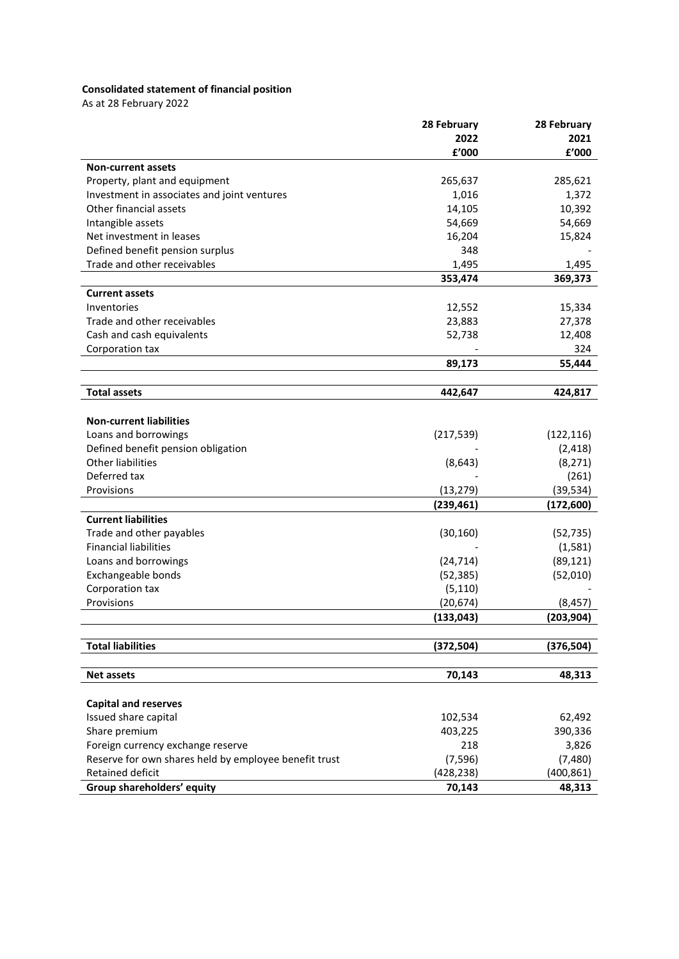# **Consolidated statement of financial position**

As at 28 February 2022

|                                                       | 28 February | 28 February |
|-------------------------------------------------------|-------------|-------------|
|                                                       | 2022        | 2021        |
|                                                       | £'000       | £'000       |
| <b>Non-current assets</b>                             |             |             |
| Property, plant and equipment                         | 265,637     | 285,621     |
| Investment in associates and joint ventures           | 1,016       | 1,372       |
| Other financial assets                                | 14,105      | 10,392      |
| Intangible assets                                     | 54,669      | 54,669      |
| Net investment in leases                              | 16,204      | 15,824      |
| Defined benefit pension surplus                       | 348         |             |
| Trade and other receivables                           | 1,495       | 1,495       |
|                                                       | 353,474     | 369,373     |
| <b>Current assets</b>                                 |             |             |
| Inventories                                           | 12,552      | 15,334      |
| Trade and other receivables                           | 23,883      | 27,378      |
| Cash and cash equivalents                             | 52,738      | 12,408      |
| Corporation tax                                       |             | 324         |
|                                                       | 89,173      | 55,444      |
|                                                       |             |             |
| <b>Total assets</b>                                   | 442,647     | 424,817     |
|                                                       |             |             |
| <b>Non-current liabilities</b>                        |             |             |
| Loans and borrowings                                  | (217, 539)  | (122, 116)  |
| Defined benefit pension obligation                    |             | (2, 418)    |
| <b>Other liabilities</b>                              | (8, 643)    | (8, 271)    |
| Deferred tax                                          |             | (261)       |
| Provisions                                            | (13, 279)   | (39, 534)   |
|                                                       | (239, 461)  | (172, 600)  |
| <b>Current liabilities</b>                            |             |             |
| Trade and other payables                              | (30, 160)   | (52, 735)   |
| <b>Financial liabilities</b>                          |             | (1,581)     |
| Loans and borrowings                                  | (24, 714)   | (89, 121)   |
| Exchangeable bonds                                    | (52, 385)   | (52,010)    |
| Corporation tax                                       | (5, 110)    |             |
| Provisions                                            | (20, 674)   | (8, 457)    |
|                                                       | (133, 043)  | (203, 904)  |
|                                                       |             |             |
| <b>Total liabilities</b>                              | (372, 504)  | (376, 504)  |
|                                                       |             |             |
| <b>Net assets</b>                                     | 70,143      | 48,313      |
|                                                       |             |             |
| <b>Capital and reserves</b>                           |             |             |
| Issued share capital                                  | 102,534     | 62,492      |
| Share premium                                         | 403,225     | 390,336     |
| Foreign currency exchange reserve                     | 218         | 3,826       |
| Reserve for own shares held by employee benefit trust | (7, 596)    | (7,480)     |
| Retained deficit                                      | (428, 238)  | (400, 861)  |
| Group shareholders' equity                            | 70,143      | 48,313      |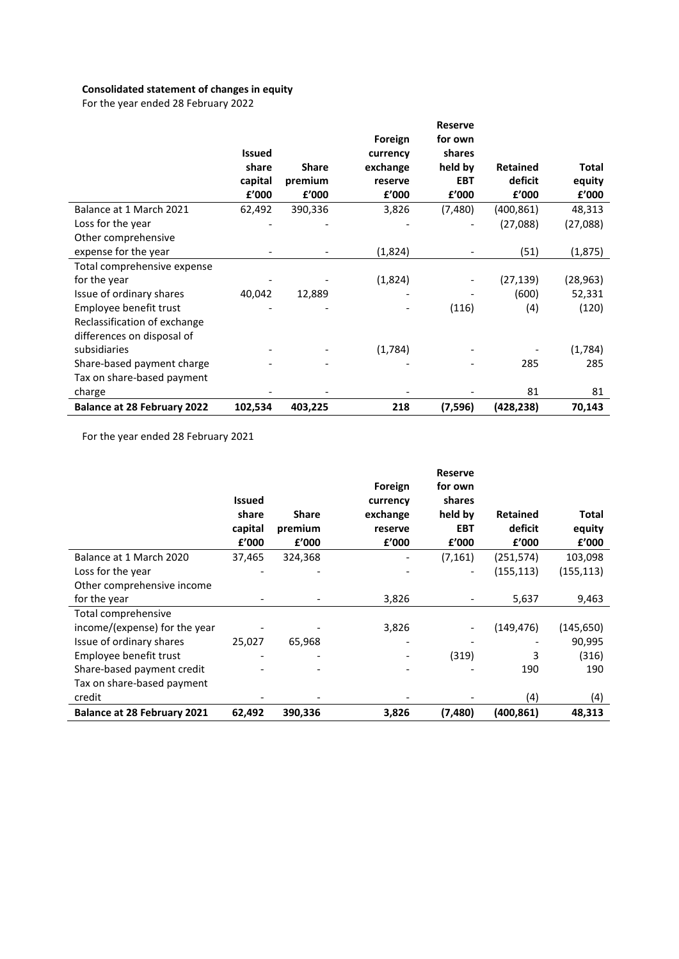# **Consolidated statement of changes in equity**

For the year ended 28 February 2022

|                                    |               |              |          | <b>Reserve</b> |                 |           |
|------------------------------------|---------------|--------------|----------|----------------|-----------------|-----------|
|                                    |               |              | Foreign  | for own        |                 |           |
|                                    | <b>Issued</b> |              | currency | shares         |                 |           |
|                                    | share         | <b>Share</b> | exchange | held by        | <b>Retained</b> | Total     |
|                                    | capital       | premium      | reserve  | <b>EBT</b>     | deficit         | equity    |
|                                    | £'000         | f'000        | £'000    | f'000          | f'000           | f'000     |
| Balance at 1 March 2021            | 62,492        | 390,336      | 3,826    | (7,480)        | (400, 861)      | 48,313    |
| Loss for the year                  |               |              |          |                | (27,088)        | (27,088)  |
| Other comprehensive                |               |              |          |                |                 |           |
| expense for the year               |               |              | (1,824)  |                | (51)            | (1, 875)  |
| Total comprehensive expense        |               |              |          |                |                 |           |
| for the year                       |               |              | (1,824)  |                | (27, 139)       | (28, 963) |
| Issue of ordinary shares           | 40,042        | 12,889       |          |                | (600)           | 52,331    |
| Employee benefit trust             |               |              |          | (116)          | (4)             | (120)     |
| Reclassification of exchange       |               |              |          |                |                 |           |
| differences on disposal of         |               |              |          |                |                 |           |
| subsidiaries                       |               |              | (1,784)  |                |                 | (1,784)   |
| Share-based payment charge         |               |              |          |                | 285             | 285       |
| Tax on share-based payment         |               |              |          |                |                 |           |
| charge                             |               |              |          |                | 81              | 81        |
| <b>Balance at 28 February 2022</b> | 102,534       | 403,225      | 218      | (7,596)        | (428,238)       | 70,143    |

For the year ended 28 February 2021

|                                    | <b>Issued</b><br>share<br>capital<br>f'000 | <b>Share</b><br>premium<br>£'000 | Foreign<br>currency<br>exchange<br>reserve<br>£'000 | <b>Reserve</b><br>for own<br>shares<br>held by<br><b>EBT</b><br>£'000 | <b>Retained</b><br>deficit<br>f'000 | <b>Total</b><br>equity<br>f'000 |
|------------------------------------|--------------------------------------------|----------------------------------|-----------------------------------------------------|-----------------------------------------------------------------------|-------------------------------------|---------------------------------|
| Balance at 1 March 2020            | 37,465                                     | 324,368                          |                                                     | (7, 161)                                                              | (251,574)                           | 103,098                         |
| Loss for the year                  |                                            |                                  |                                                     |                                                                       | (155, 113)                          | (155, 113)                      |
| Other comprehensive income         |                                            |                                  |                                                     |                                                                       |                                     |                                 |
| for the year                       |                                            |                                  | 3,826                                               |                                                                       | 5,637                               | 9,463                           |
| Total comprehensive                |                                            |                                  |                                                     |                                                                       |                                     |                                 |
| income/(expense) for the year      |                                            |                                  | 3,826                                               |                                                                       | (149, 476)                          | (145, 650)                      |
| Issue of ordinary shares           | 25,027                                     | 65,968                           |                                                     |                                                                       |                                     | 90,995                          |
| Employee benefit trust             |                                            |                                  |                                                     | (319)                                                                 | 3                                   | (316)                           |
| Share-based payment credit         |                                            |                                  |                                                     |                                                                       | 190                                 | 190                             |
| Tax on share-based payment         |                                            |                                  |                                                     |                                                                       |                                     |                                 |
| credit                             |                                            |                                  |                                                     |                                                                       | (4)                                 | (4)                             |
| <b>Balance at 28 February 2021</b> | 62,492                                     | 390,336                          | 3,826                                               | (7,480)                                                               | (400,861)                           | 48,313                          |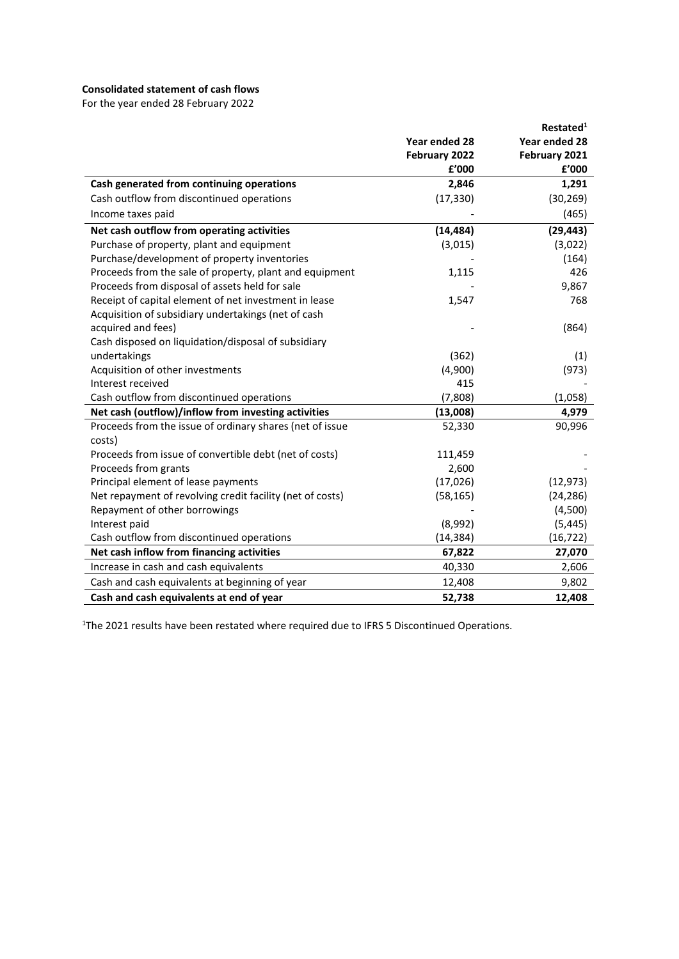## **Consolidated statement of cash flows**

For the year ended 28 February 2022

|                                                           |               | Restated <sup>1</sup> |
|-----------------------------------------------------------|---------------|-----------------------|
|                                                           | Year ended 28 | Year ended 28         |
|                                                           | February 2022 | February 2021         |
|                                                           | £'000         | £'000                 |
| Cash generated from continuing operations                 | 2,846         | 1,291                 |
| Cash outflow from discontinued operations                 | (17, 330)     | (30, 269)             |
| Income taxes paid                                         |               | (465)                 |
| Net cash outflow from operating activities                | (14, 484)     | (29, 443)             |
| Purchase of property, plant and equipment                 | (3,015)       | (3,022)               |
| Purchase/development of property inventories              |               | (164)                 |
| Proceeds from the sale of property, plant and equipment   | 1,115         | 426                   |
| Proceeds from disposal of assets held for sale            |               | 9,867                 |
| Receipt of capital element of net investment in lease     | 1,547         | 768                   |
| Acquisition of subsidiary undertakings (net of cash       |               |                       |
| acquired and fees)                                        |               | (864)                 |
| Cash disposed on liquidation/disposal of subsidiary       |               |                       |
| undertakings                                              | (362)         | (1)                   |
| Acquisition of other investments                          | (4,900)       | (973)                 |
| Interest received                                         | 415           |                       |
| Cash outflow from discontinued operations                 | (7,808)       | (1,058)               |
| Net cash (outflow)/inflow from investing activities       | (13,008)      | 4,979                 |
| Proceeds from the issue of ordinary shares (net of issue  | 52,330        | 90,996                |
| costs)                                                    |               |                       |
| Proceeds from issue of convertible debt (net of costs)    | 111,459       |                       |
| Proceeds from grants                                      | 2,600         |                       |
| Principal element of lease payments                       | (17,026)      | (12, 973)             |
| Net repayment of revolving credit facility (net of costs) | (58, 165)     | (24, 286)             |
| Repayment of other borrowings                             |               | (4,500)               |
| Interest paid                                             | (8,992)       | (5, 445)              |
| Cash outflow from discontinued operations                 | (14, 384)     | (16, 722)             |
| Net cash inflow from financing activities                 | 67,822        | 27,070                |
| Increase in cash and cash equivalents                     | 40,330        | 2,606                 |
| Cash and cash equivalents at beginning of year            | 12,408        | 9,802                 |
| Cash and cash equivalents at end of year                  | 52,738        | 12,408                |

<sup>1</sup>The 2021 results have been restated where required due to IFRS 5 Discontinued Operations.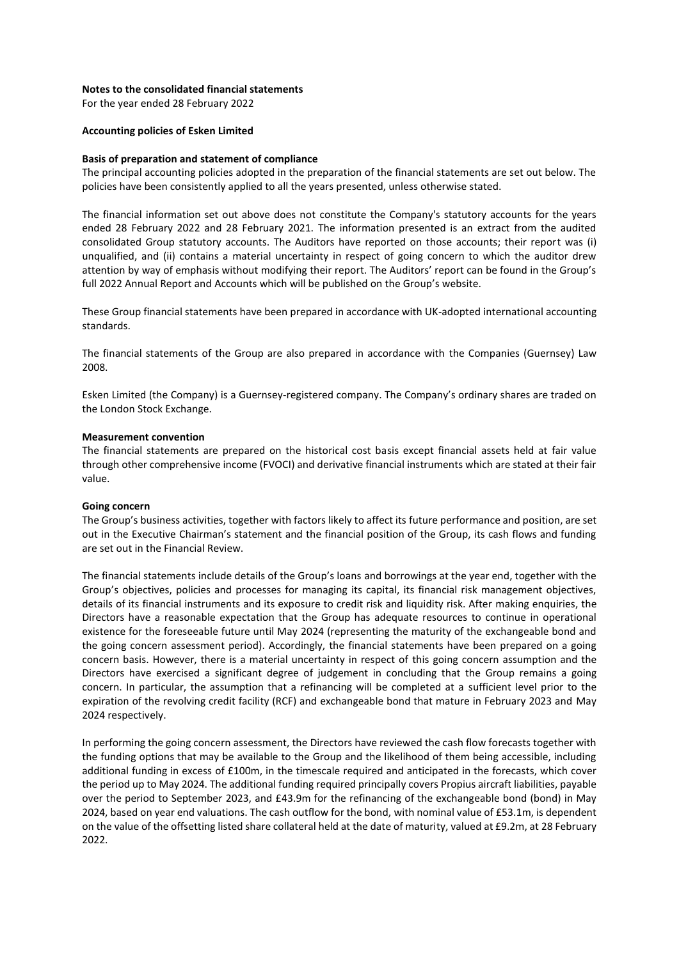## **Notes to the consolidated financial statements**

For the year ended 28 February 2022

#### **Accounting policies of Esken Limited**

#### **Basis of preparation and statement of compliance**

The principal accounting policies adopted in the preparation of the financial statements are set out below. The policies have been consistently applied to all the years presented, unless otherwise stated.

The financial information set out above does not constitute the Company's statutory accounts for the years ended 28 February 2022 and 28 February 2021. The information presented is an extract from the audited consolidated Group statutory accounts. The Auditors have reported on those accounts; their report was (i) unqualified, and (ii) contains a material uncertainty in respect of going concern to which the auditor drew attention by way of emphasis without modifying their report. The Auditors' report can be found in the Group's full 2022 Annual Report and Accounts which will be published on the Group's website.

These Group financial statements have been prepared in accordance with UK-adopted international accounting standards.

The financial statements of the Group are also prepared in accordance with the Companies (Guernsey) Law 2008.

Esken Limited (the Company) is a Guernsey-registered company. The Company's ordinary shares are traded on the London Stock Exchange.

#### **Measurement convention**

The financial statements are prepared on the historical cost basis except financial assets held at fair value through other comprehensive income (FVOCI) and derivative financial instruments which are stated at their fair value.

#### **Going concern**

The Group's business activities, together with factors likely to affect its future performance and position, are set out in the Executive Chairman's statement and the financial position of the Group, its cash flows and funding are set out in the Financial Review.

The financial statements include details of the Group's loans and borrowings at the year end, together with the Group's objectives, policies and processes for managing its capital, its financial risk management objectives, details of its financial instruments and its exposure to credit risk and liquidity risk. After making enquiries, the Directors have a reasonable expectation that the Group has adequate resources to continue in operational existence for the foreseeable future until May 2024 (representing the maturity of the exchangeable bond and the going concern assessment period). Accordingly, the financial statements have been prepared on a going concern basis. However, there is a material uncertainty in respect of this going concern assumption and the Directors have exercised a significant degree of judgement in concluding that the Group remains a going concern. In particular, the assumption that a refinancing will be completed at a sufficient level prior to the expiration of the revolving credit facility (RCF) and exchangeable bond that mature in February 2023 and May 2024 respectively.

In performing the going concern assessment, the Directors have reviewed the cash flow forecasts together with the funding options that may be available to the Group and the likelihood of them being accessible, including additional funding in excess of £100m, in the timescale required and anticipated in the forecasts, which cover the period up to May 2024. The additional funding required principally covers Propius aircraft liabilities, payable over the period to September 2023, and £43.9m for the refinancing of the exchangeable bond (bond) in May 2024, based on year end valuations. The cash outflow for the bond, with nominal value of £53.1m, is dependent on the value of the offsetting listed share collateral held at the date of maturity, valued at £9.2m, at 28 February 2022.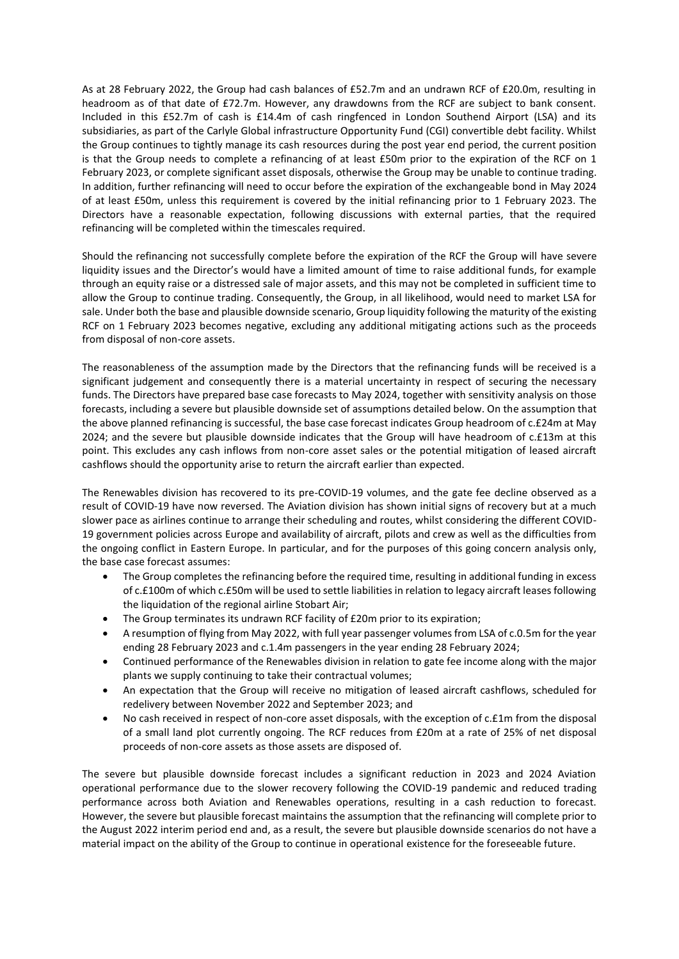As at 28 February 2022, the Group had cash balances of £52.7m and an undrawn RCF of £20.0m, resulting in headroom as of that date of £72.7m. However, any drawdowns from the RCF are subject to bank consent. Included in this £52.7m of cash is £14.4m of cash ringfenced in London Southend Airport (LSA) and its subsidiaries, as part of the Carlyle Global infrastructure Opportunity Fund (CGI) convertible debt facility. Whilst the Group continues to tightly manage its cash resources during the post year end period, the current position is that the Group needs to complete a refinancing of at least £50m prior to the expiration of the RCF on 1 February 2023, or complete significant asset disposals, otherwise the Group may be unable to continue trading. In addition, further refinancing will need to occur before the expiration of the exchangeable bond in May 2024 of at least £50m, unless this requirement is covered by the initial refinancing prior to 1 February 2023. The Directors have a reasonable expectation, following discussions with external parties, that the required refinancing will be completed within the timescales required.

Should the refinancing not successfully complete before the expiration of the RCF the Group will have severe liquidity issues and the Director's would have a limited amount of time to raise additional funds, for example through an equity raise or a distressed sale of major assets, and this may not be completed in sufficient time to allow the Group to continue trading. Consequently, the Group, in all likelihood, would need to market LSA for sale. Under both the base and plausible downside scenario, Group liquidity following the maturity of the existing RCF on 1 February 2023 becomes negative, excluding any additional mitigating actions such as the proceeds from disposal of non-core assets.

The reasonableness of the assumption made by the Directors that the refinancing funds will be received is a significant judgement and consequently there is a material uncertainty in respect of securing the necessary funds. The Directors have prepared base case forecasts to May 2024, together with sensitivity analysis on those forecasts, including a severe but plausible downside set of assumptions detailed below. On the assumption that the above planned refinancing is successful, the base case forecast indicates Group headroom of c.£24m at May 2024; and the severe but plausible downside indicates that the Group will have headroom of c.£13m at this point. This excludes any cash inflows from non-core asset sales or the potential mitigation of leased aircraft cashflows should the opportunity arise to return the aircraft earlier than expected.

The Renewables division has recovered to its pre-COVID-19 volumes, and the gate fee decline observed as a result of COVID-19 have now reversed. The Aviation division has shown initial signs of recovery but at a much slower pace as airlines continue to arrange their scheduling and routes, whilst considering the different COVID-19 government policies across Europe and availability of aircraft, pilots and crew as well as the difficulties from the ongoing conflict in Eastern Europe. In particular, and for the purposes of this going concern analysis only, the base case forecast assumes:

- The Group completes the refinancing before the required time, resulting in additional funding in excess of c.£100m of which c.£50m will be used to settle liabilities in relation to legacy aircraft leases following the liquidation of the regional airline Stobart Air;
- The Group terminates its undrawn RCF facility of £20m prior to its expiration;
- A resumption of flying from May 2022, with full year passenger volumes from LSA of c.0.5m for the year ending 28 February 2023 and c.1.4m passengers in the year ending 28 February 2024;
- Continued performance of the Renewables division in relation to gate fee income along with the major plants we supply continuing to take their contractual volumes;
- An expectation that the Group will receive no mitigation of leased aircraft cashflows, scheduled for redelivery between November 2022 and September 2023; and
- No cash received in respect of non-core asset disposals, with the exception of c.£1m from the disposal of a small land plot currently ongoing. The RCF reduces from £20m at a rate of 25% of net disposal proceeds of non-core assets as those assets are disposed of.

The severe but plausible downside forecast includes a significant reduction in 2023 and 2024 Aviation operational performance due to the slower recovery following the COVID-19 pandemic and reduced trading performance across both Aviation and Renewables operations, resulting in a cash reduction to forecast. However, the severe but plausible forecast maintains the assumption that the refinancing will complete prior to the August 2022 interim period end and, as a result, the severe but plausible downside scenarios do not have a material impact on the ability of the Group to continue in operational existence for the foreseeable future.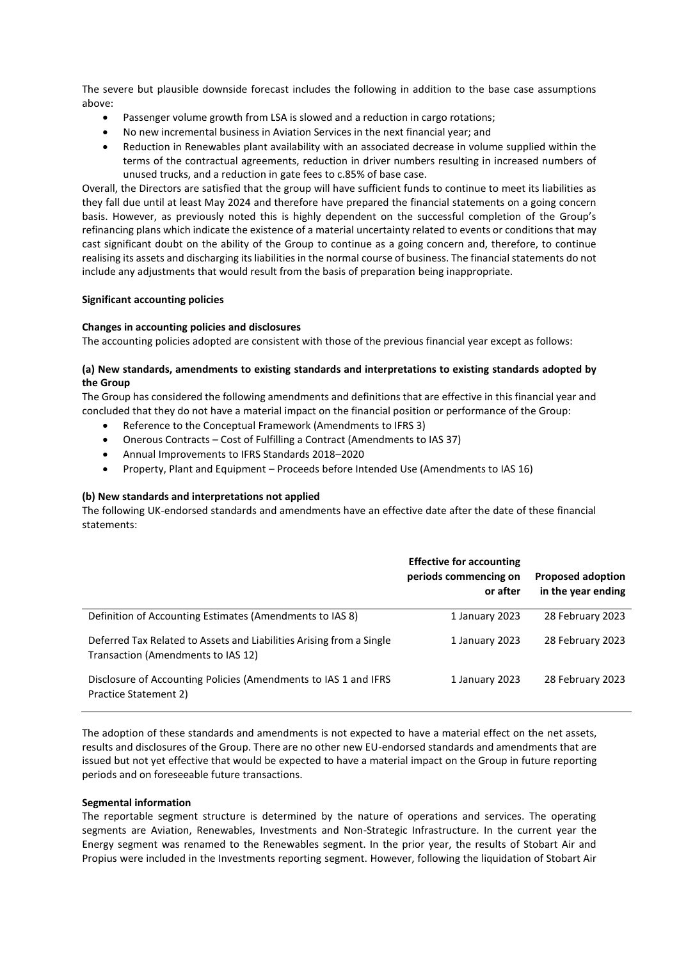The severe but plausible downside forecast includes the following in addition to the base case assumptions above:

- Passenger volume growth from LSA is slowed and a reduction in cargo rotations;
- No new incremental business in Aviation Services in the next financial year; and
- Reduction in Renewables plant availability with an associated decrease in volume supplied within the terms of the contractual agreements, reduction in driver numbers resulting in increased numbers of unused trucks, and a reduction in gate fees to c.85% of base case.

Overall, the Directors are satisfied that the group will have sufficient funds to continue to meet its liabilities as they fall due until at least May 2024 and therefore have prepared the financial statements on a going concern basis. However, as previously noted this is highly dependent on the successful completion of the Group's refinancing plans which indicate the existence of a material uncertainty related to events or conditions that may cast significant doubt on the ability of the Group to continue as a going concern and, therefore, to continue realising its assets and discharging its liabilities in the normal course of business. The financial statements do not include any adjustments that would result from the basis of preparation being inappropriate.

#### **Significant accounting policies**

#### **Changes in accounting policies and disclosures**

The accounting policies adopted are consistent with those of the previous financial year except as follows:

## **(a) New standards, amendments to existing standards and interpretations to existing standards adopted by the Group**

The Group has considered the following amendments and definitions that are effective in this financial year and concluded that they do not have a material impact on the financial position or performance of the Group:

- Reference to the Conceptual Framework (Amendments to IFRS 3)
- Onerous Contracts Cost of Fulfilling a Contract (Amendments to IAS 37)
- Annual Improvements to IFRS Standards 2018–2020
- Property, Plant and Equipment Proceeds before Intended Use (Amendments to IAS 16)

#### **(b) New standards and interpretations not applied**

The following UK-endorsed standards and amendments have an effective date after the date of these financial statements:

|                                                                                                            | <b>Effective for accounting</b><br>periods commencing on<br>or after | <b>Proposed adoption</b><br>in the year ending |
|------------------------------------------------------------------------------------------------------------|----------------------------------------------------------------------|------------------------------------------------|
| Definition of Accounting Estimates (Amendments to IAS 8)                                                   | 1 January 2023                                                       | 28 February 2023                               |
| Deferred Tax Related to Assets and Liabilities Arising from a Single<br>Transaction (Amendments to IAS 12) | 1 January 2023                                                       | 28 February 2023                               |
| Disclosure of Accounting Policies (Amendments to IAS 1 and IFRS<br>Practice Statement 2)                   | 1 January 2023                                                       | 28 February 2023                               |

The adoption of these standards and amendments is not expected to have a material effect on the net assets, results and disclosures of the Group. There are no other new EU-endorsed standards and amendments that are issued but not yet effective that would be expected to have a material impact on the Group in future reporting periods and on foreseeable future transactions.

#### **Segmental information**

The reportable segment structure is determined by the nature of operations and services. The operating segments are Aviation, Renewables, Investments and Non-Strategic Infrastructure. In the current year the Energy segment was renamed to the Renewables segment. In the prior year, the results of Stobart Air and Propius were included in the Investments reporting segment. However, following the liquidation of Stobart Air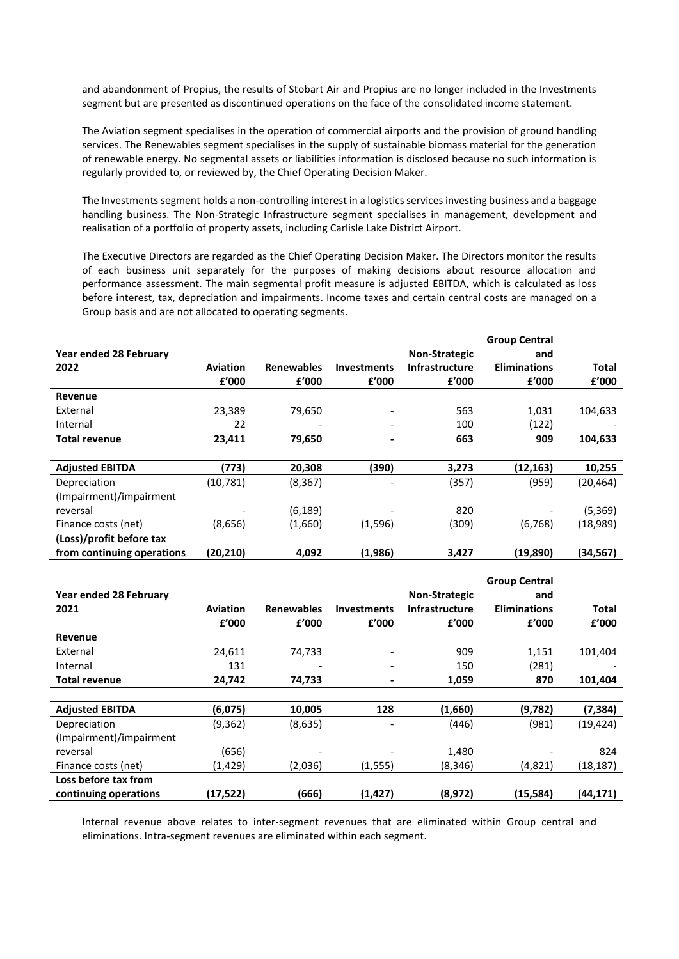and abandonment of Propius, the results of Stobart Air and Propius are no longer included in the Investments segment but are presented as discontinued operations on the face of the consolidated income statement.

The Aviation segment specialises in the operation of commercial airports and the provision of ground handling services. The Renewables segment specialises in the supply of sustainable biomass material for the generation of renewable energy. No segmental assets or liabilities information is disclosed because no such information is regularly provided to, or reviewed by, the Chief Operating Decision Maker.

The Investments segment holds a non-controlling interest in a logistics services investing business and a baggage handling business. The Non-Strategic Infrastructure segment specialises in management, development and realisation of a portfolio of property assets, including Carlisle Lake District Airport.

The Executive Directors are regarded as the Chief Operating Decision Maker. The Directors monitor the results of each business unit separately for the purposes of making decisions about resource allocation and performance assessment. The main segmental profit measure is adjusted EBITDA, which is calculated as loss before interest, tax, depreciation and impairments. Income taxes and certain central costs are managed on a Group basis and are not allocated to operating segments.

|                            |           |                   |                          |                       | <b>Group Central</b> |              |
|----------------------------|-----------|-------------------|--------------------------|-----------------------|----------------------|--------------|
| Year ended 28 February     |           |                   |                          | <b>Non-Strategic</b>  | and                  |              |
| 2022                       | Aviation  | <b>Renewables</b> | <b>Investments</b>       | <b>Infrastructure</b> | <b>Eliminations</b>  | <b>Total</b> |
|                            | £'000     | f'000             | f'000                    | £'000                 | f'000                | £'000        |
| Revenue                    |           |                   |                          |                       |                      |              |
| External                   | 23,389    | 79,650            |                          | 563                   | 1,031                | 104,633      |
| Internal                   | 22        |                   | $\overline{\phantom{a}}$ | 100                   | (122)                |              |
| <b>Total revenue</b>       | 23,411    | 79,650            | ٠                        | 663                   | 909                  | 104,633      |
|                            |           |                   |                          |                       |                      |              |
| <b>Adjusted EBITDA</b>     | (773)     | 20,308            | (390)                    | 3,273                 | (12, 163)            | 10,255       |
| Depreciation               | (10, 781) | (8, 367)          | $\overline{\phantom{0}}$ | (357)                 | (959)                | (20, 464)    |
| (Impairment)/impairment    |           |                   |                          |                       |                      |              |
| reversal                   |           | (6, 189)          |                          | 820                   |                      | (5, 369)     |
| Finance costs (net)        | (8,656)   | (1,660)           | (1,596)                  | (309)                 | (6, 768)             | (18,989)     |
| (Loss)/profit before tax   |           |                   |                          |                       |                      |              |
| from continuing operations | (20,210)  | 4,092             | (1,986)                  | 3,427                 | (19,890)             | (34, 567)    |

|                         |                 |                   |                              |                       | <b>Group Central</b> |              |
|-------------------------|-----------------|-------------------|------------------------------|-----------------------|----------------------|--------------|
| Year ended 28 February  |                 |                   |                              | <b>Non-Strategic</b>  | and                  |              |
| 2021                    | <b>Aviation</b> | <b>Renewables</b> | <b>Investments</b>           | <b>Infrastructure</b> | <b>Eliminations</b>  | <b>Total</b> |
|                         | £'000           | £'000             | f'000                        | £'000                 | f'000                | f'000        |
| Revenue                 |                 |                   |                              |                       |                      |              |
| External                | 24,611          | 74,733            | ٠                            | 909                   | 1,151                | 101,404      |
| Internal                | 131             |                   | $\qquad \qquad \blacksquare$ | 150                   | (281)                |              |
| <b>Total revenue</b>    | 24,742          | 74,733            | ۰                            | 1,059                 | 870                  | 101,404      |
|                         |                 |                   |                              |                       |                      |              |
| <b>Adjusted EBITDA</b>  | (6,075)         | 10,005            | 128                          | (1,660)               | (9,782)              | (7,384)      |
| Depreciation            | (9, 362)        | (8,635)           |                              | (446)                 | (981)                | (19, 424)    |
| (Impairment)/impairment |                 |                   |                              |                       |                      |              |
| reversal                | (656)           |                   |                              | 1,480                 |                      | 824          |
| Finance costs (net)     | (1, 429)        | (2,036)           | (1, 555)                     | (8, 346)              | (4,821)              | (18, 187)    |
| Loss before tax from    |                 |                   |                              |                       |                      |              |
| continuing operations   | (17,522)        | (666)             | (1, 427)                     | (8,972)               | (15,584)             | (44, 171)    |

Internal revenue above relates to inter-segment revenues that are eliminated within Group central and eliminations. Intra-segment revenues are eliminated within each segment.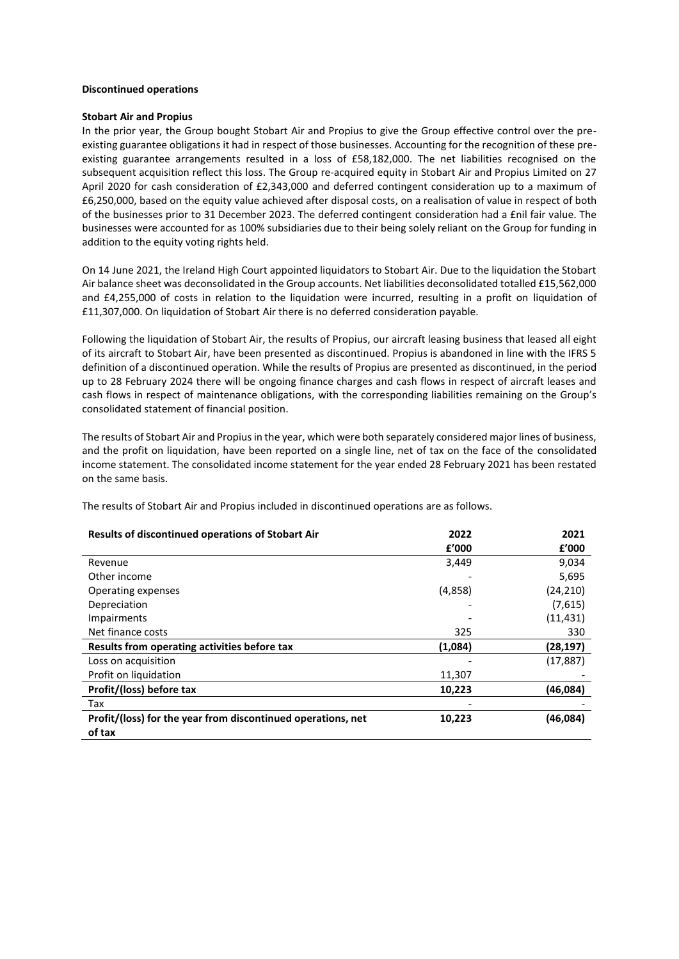## **Discontinued operations**

#### **Stobart Air and Propius**

In the prior year, the Group bought Stobart Air and Propius to give the Group effective control over the preexisting guarantee obligations it had in respect of those businesses. Accounting for the recognition of these preexisting guarantee arrangements resulted in a loss of £58,182,000. The net liabilities recognised on the subsequent acquisition reflect this loss. The Group re-acquired equity in Stobart Air and Propius Limited on 27 April 2020 for cash consideration of £2,343,000 and deferred contingent consideration up to a maximum of £6,250,000, based on the equity value achieved after disposal costs, on a realisation of value in respect of both of the businesses prior to 31 December 2023. The deferred contingent consideration had a £nil fair value. The businesses were accounted for as 100% subsidiaries due to their being solely reliant on the Group for funding in addition to the equity voting rights held.

On 14 June 2021, the Ireland High Court appointed liquidators to Stobart Air. Due to the liquidation the Stobart Air balance sheet was deconsolidated in the Group accounts. Net liabilities deconsolidated totalled £15,562,000 and £4,255,000 of costs in relation to the liquidation were incurred, resulting in a profit on liquidation of £11,307,000. On liquidation of Stobart Air there is no deferred consideration payable.

Following the liquidation of Stobart Air, the results of Propius, our aircraft leasing business that leased all eight of its aircraft to Stobart Air, have been presented as discontinued. Propius is abandoned in line with the IFRS 5 definition of a discontinued operation. While the results of Propius are presented as discontinued, in the period up to 28 February 2024 there will be ongoing finance charges and cash flows in respect of aircraft leases and cash flows in respect of maintenance obligations, with the corresponding liabilities remaining on the Group's consolidated statement of financial position.

The results of Stobart Air and Propius in the year, which were both separately considered major lines of business, and the profit on liquidation, have been reported on a single line, net of tax on the face of the consolidated income statement. The consolidated income statement for the year ended 28 February 2021 has been restated on the same basis.

The results of Stobart Air and Propius included in discontinued operations are as follows.

| <b>Results of discontinued operations of Stobart Air</b>     | 2022    | 2021      |
|--------------------------------------------------------------|---------|-----------|
|                                                              | f'000   | f'000     |
| Revenue                                                      | 3,449   | 9,034     |
| Other income                                                 |         | 5,695     |
| Operating expenses                                           | (4,858) | (24, 210) |
| Depreciation                                                 |         | (7,615)   |
| Impairments                                                  |         | (11, 431) |
| Net finance costs                                            | 325     | 330       |
| Results from operating activities before tax                 | (1,084) | (28, 197) |
| Loss on acquisition                                          |         | (17, 887) |
| Profit on liquidation                                        | 11,307  |           |
| Profit/(loss) before tax                                     | 10,223  | (46,084)  |
| Tax                                                          |         |           |
| Profit/(loss) for the year from discontinued operations, net | 10,223  | (46,084)  |
| of tax                                                       |         |           |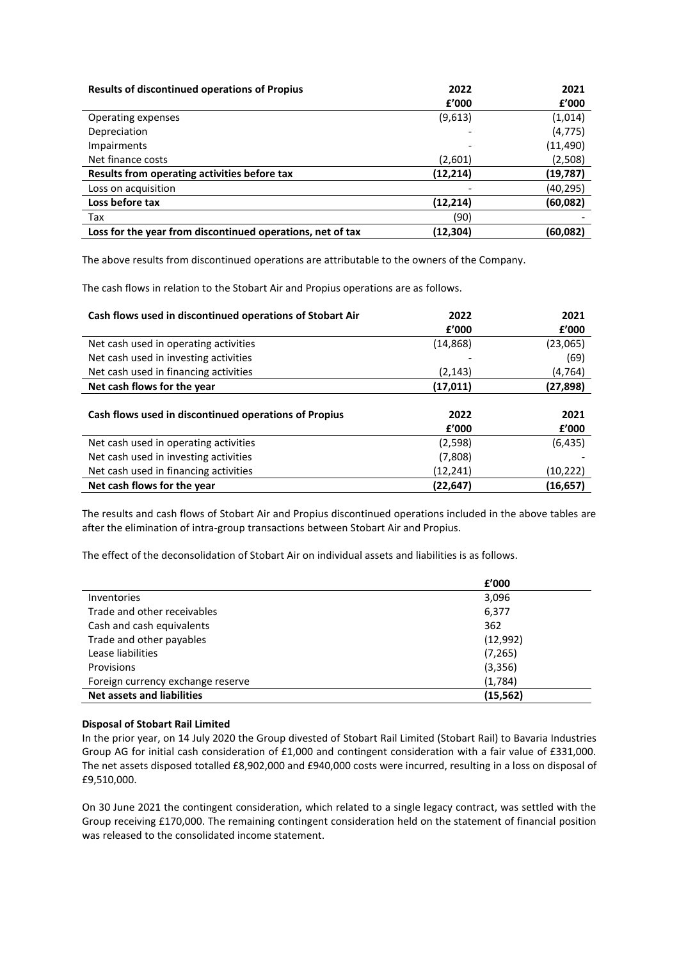| <b>Results of discontinued operations of Propius</b>       | 2022      | 2021     |
|------------------------------------------------------------|-----------|----------|
|                                                            | f'000     | f'000    |
| Operating expenses                                         | (9,613)   | (1,014)  |
| Depreciation                                               | ۰         | (4, 775) |
| Impairments                                                |           | (11,490) |
| Net finance costs                                          | (2,601)   | (2,508)  |
| Results from operating activities before tax               | (12, 214) | (19,787) |
| Loss on acquisition                                        |           | (40,295) |
| Loss before tax                                            | (12, 214) | (60,082) |
| Tax                                                        | (90)      |          |
| Loss for the year from discontinued operations, net of tax | (12,304)  | (60,082) |

The above results from discontinued operations are attributable to the owners of the Company.

The cash flows in relation to the Stobart Air and Propius operations are as follows.

| Cash flows used in discontinued operations of Stobart Air | 2022<br>f'000 | 2021<br>f'000 |
|-----------------------------------------------------------|---------------|---------------|
| Net cash used in operating activities                     | (14,868)      | (23,065)      |
| Net cash used in investing activities                     |               | (69)          |
| Net cash used in financing activities                     | (2, 143)      | (4,764)       |
| Net cash flows for the year                               | (17,011)      | (27,898)      |
| Cash flows used in discontinued operations of Propius     | 2022<br>f'000 | 2021<br>f'000 |
| Net cash used in operating activities                     | (2,598)       | (6, 435)      |
| Net cash used in investing activities                     | (7,808)       |               |
| Net cash used in financing activities                     | (12,241)      | (10, 222)     |
| Net cash flows for the year                               | (22,647)      | (16,657)      |

The results and cash flows of Stobart Air and Propius discontinued operations included in the above tables are after the elimination of intra-group transactions between Stobart Air and Propius.

The effect of the deconsolidation of Stobart Air on individual assets and liabilities is as follows.

|                                   | £'000     |
|-----------------------------------|-----------|
| Inventories                       | 3,096     |
| Trade and other receivables       | 6,377     |
| Cash and cash equivalents         | 362       |
| Trade and other payables          | (12,992)  |
| Lease liabilities                 | (7, 265)  |
| Provisions                        | (3,356)   |
| Foreign currency exchange reserve | (1,784)   |
| <b>Net assets and liabilities</b> | (15, 562) |

## **Disposal of Stobart Rail Limited**

In the prior year, on 14 July 2020 the Group divested of Stobart Rail Limited (Stobart Rail) to Bavaria Industries Group AG for initial cash consideration of £1,000 and contingent consideration with a fair value of £331,000. The net assets disposed totalled £8,902,000 and £940,000 costs were incurred, resulting in a loss on disposal of £9,510,000.

On 30 June 2021 the contingent consideration, which related to a single legacy contract, was settled with the Group receiving £170,000. The remaining contingent consideration held on the statement of financial position was released to the consolidated income statement.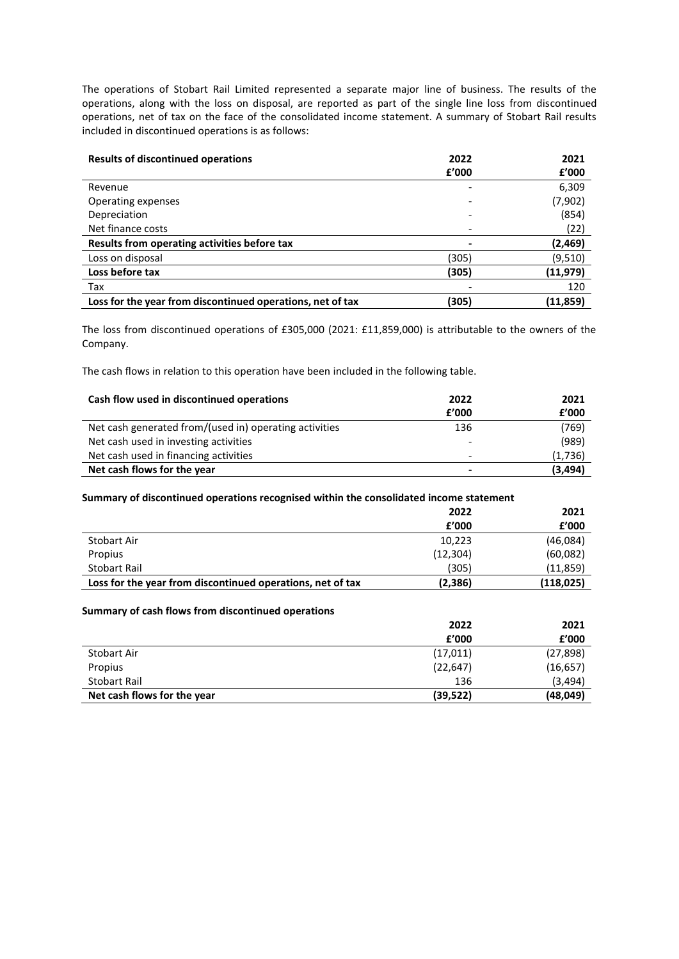The operations of Stobart Rail Limited represented a separate major line of business. The results of the operations, along with the loss on disposal, are reported as part of the single line loss from discontinued operations, net of tax on the face of the consolidated income statement. A summary of Stobart Rail results included in discontinued operations is as follows:

| <b>Results of discontinued operations</b>                  | 2022  | 2021      |
|------------------------------------------------------------|-------|-----------|
|                                                            | f'000 | f'000     |
| Revenue                                                    |       | 6,309     |
| Operating expenses                                         |       | (7,902)   |
| Depreciation                                               |       | (854)     |
| Net finance costs                                          |       | (22)      |
| Results from operating activities before tax               |       | (2,469)   |
| Loss on disposal                                           | (305) | (9,510)   |
| Loss before tax                                            | (305) | (11, 979) |
| Tax                                                        |       | 120       |
| Loss for the year from discontinued operations, net of tax | (305) | (11,859)  |

The loss from discontinued operations of £305,000 (2021: £11,859,000) is attributable to the owners of the Company.

The cash flows in relation to this operation have been included in the following table.

| Cash flow used in discontinued operations              | 2022  | 2021     |
|--------------------------------------------------------|-------|----------|
|                                                        | f'000 | £'000    |
| Net cash generated from/(used in) operating activities | 136   | (769)    |
| Net cash used in investing activities                  |       | (989)    |
| Net cash used in financing activities                  | -     | (1,736)  |
| Net cash flows for the year                            | -     | (3, 494) |

#### **Summary of discontinued operations recognised within the consolidated income statement**

|                                                            | 2022      | 2021       |
|------------------------------------------------------------|-----------|------------|
|                                                            | f'000     | f'000      |
| Stobart Air                                                | 10,223    | (46,084)   |
| Propius                                                    | (12, 304) | (60,082)   |
| Stobart Rail                                               | (305)     | (11, 859)  |
| Loss for the year from discontinued operations, net of tax | (2,386)   | (118, 025) |

## **Summary of cash flows from discontinued operations**

|                             | 2022      | 2021      |
|-----------------------------|-----------|-----------|
|                             | f'000     | f'000     |
| Stobart Air                 | (17, 011) | (27, 898) |
| Propius                     | (22, 647) | (16, 657) |
| Stobart Rail                | 136       | (3, 494)  |
| Net cash flows for the year | (39,522)  | (48,049)  |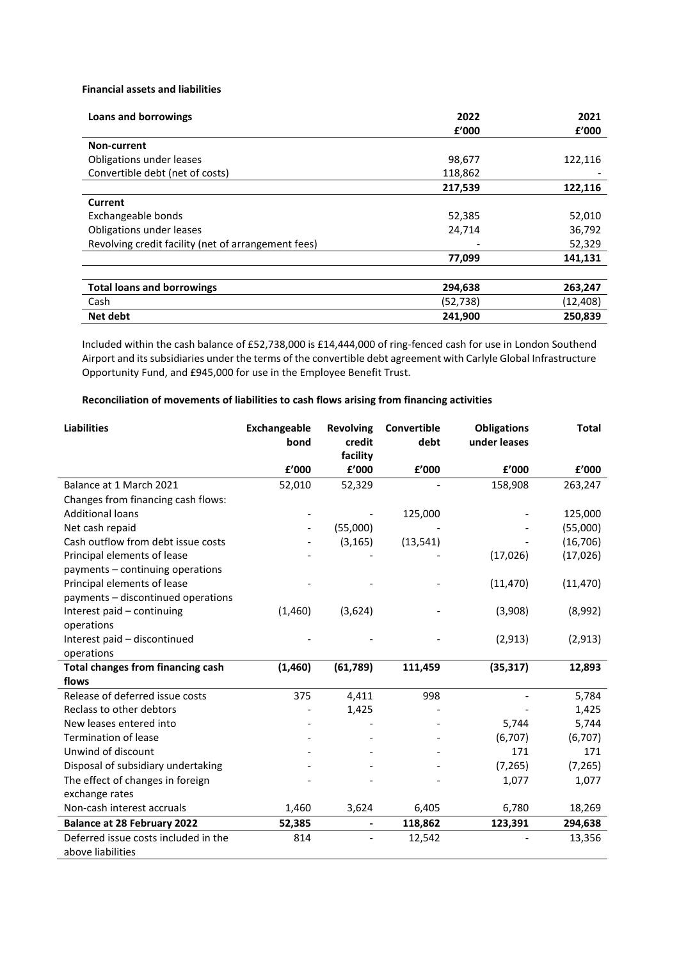## **Financial assets and liabilities**

| <b>Loans and borrowings</b>                         | 2022<br>f'000 | 2021<br>£'000 |
|-----------------------------------------------------|---------------|---------------|
| Non-current                                         |               |               |
| Obligations under leases                            | 98,677        | 122,116       |
| Convertible debt (net of costs)                     | 118,862       |               |
|                                                     | 217,539       | 122,116       |
| <b>Current</b>                                      |               |               |
| Exchangeable bonds                                  | 52,385        | 52,010        |
| Obligations under leases                            | 24,714        | 36,792        |
| Revolving credit facility (net of arrangement fees) |               | 52,329        |
|                                                     | 77,099        | 141,131       |
|                                                     |               |               |
| <b>Total loans and borrowings</b>                   | 294,638       | 263,247       |
| Cash                                                | (52, 738)     | (12,408)      |
| Net debt                                            | 241,900       | 250,839       |

Included within the cash balance of £52,738,000 is £14,444,000 of ring-fenced cash for use in London Southend Airport and its subsidiaries under the terms of the convertible debt agreement with Carlyle Global Infrastructure Opportunity Fund, and £945,000 for use in the Employee Benefit Trust.

# **Reconciliation of movements of liabilities to cash flows arising from financing activities**

| <b>Liabilities</b>                       | <b>Exchangeable</b><br>bond | <b>Revolving</b><br>credit | Convertible<br>debt | <b>Obligations</b><br>under leases | <b>Total</b> |
|------------------------------------------|-----------------------------|----------------------------|---------------------|------------------------------------|--------------|
|                                          |                             | facility                   |                     |                                    |              |
|                                          | £'000                       | £'000                      | f'000               | £'000                              | £'000        |
| Balance at 1 March 2021                  | 52,010                      | 52,329                     |                     | 158,908                            | 263,247      |
| Changes from financing cash flows:       |                             |                            |                     |                                    |              |
| <b>Additional loans</b>                  |                             |                            | 125,000             |                                    | 125,000      |
| Net cash repaid                          |                             | (55,000)                   |                     |                                    | (55,000)     |
| Cash outflow from debt issue costs       |                             | (3, 165)                   | (13, 541)           |                                    | (16, 706)    |
| Principal elements of lease              |                             |                            |                     | (17, 026)                          | (17,026)     |
| payments - continuing operations         |                             |                            |                     |                                    |              |
| Principal elements of lease              |                             |                            |                     | (11, 470)                          | (11, 470)    |
| payments - discontinued operations       |                             |                            |                     |                                    |              |
| Interest paid - continuing               | (1,460)                     | (3,624)                    |                     | (3,908)                            | (8,992)      |
| operations                               |                             |                            |                     |                                    |              |
| Interest paid - discontinued             |                             |                            |                     | (2,913)                            | (2,913)      |
| operations                               |                             |                            |                     |                                    |              |
| <b>Total changes from financing cash</b> | (1,460)                     | (61, 789)                  | 111,459             | (35, 317)                          | 12,893       |
| flows                                    |                             |                            |                     |                                    |              |
| Release of deferred issue costs          | 375                         | 4,411                      | 998                 |                                    | 5,784        |
| Reclass to other debtors                 |                             | 1,425                      |                     |                                    | 1,425        |
| New leases entered into                  |                             |                            |                     | 5,744                              | 5,744        |
| <b>Termination of lease</b>              |                             |                            |                     | (6,707)                            | (6,707)      |
| Unwind of discount                       |                             |                            |                     | 171                                | 171          |
| Disposal of subsidiary undertaking       |                             |                            |                     | (7, 265)                           | (7, 265)     |
| The effect of changes in foreign         |                             |                            |                     | 1,077                              | 1,077        |
| exchange rates                           |                             |                            |                     |                                    |              |
| Non-cash interest accruals               | 1,460                       | 3,624                      | 6,405               | 6,780                              | 18,269       |
| <b>Balance at 28 February 2022</b>       | 52,385                      | $\blacksquare$             | 118,862             | 123,391                            | 294,638      |
| Deferred issue costs included in the     | 814                         |                            | 12,542              |                                    | 13,356       |
| above liabilities                        |                             |                            |                     |                                    |              |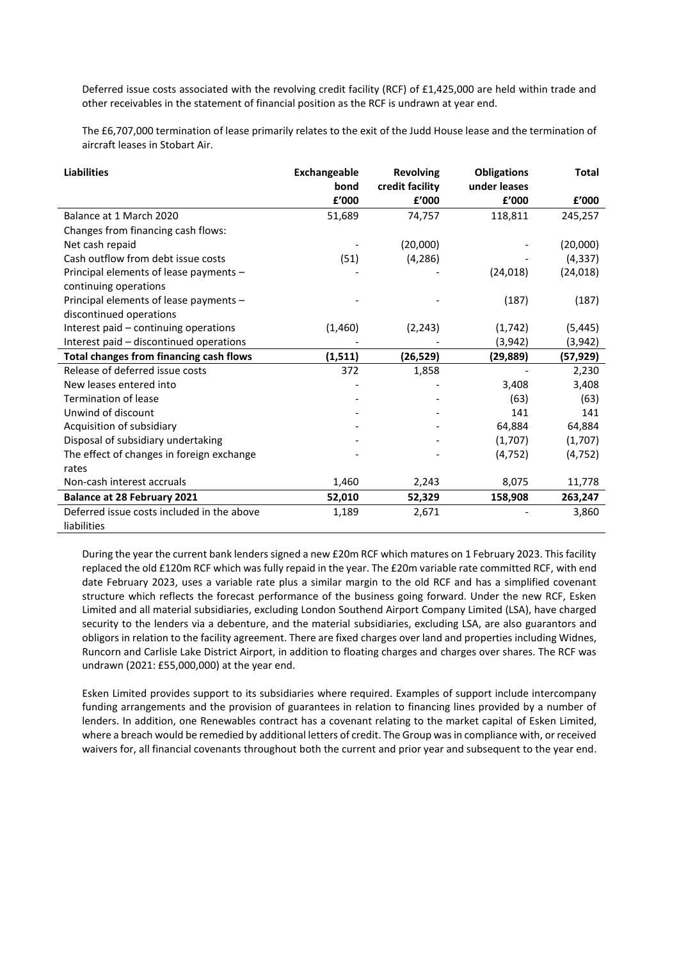Deferred issue costs associated with the revolving credit facility (RCF) of £1,425,000 are held within trade and other receivables in the statement of financial position as the RCF is undrawn at year end.

The £6,707,000 termination of lease primarily relates to the exit of the Judd House lease and the termination of aircraft leases in Stobart Air.

| <b>Liabilities</b>                             | Exchangeable<br>bond | <b>Revolving</b><br>credit facility | <b>Obligations</b><br>under leases | <b>Total</b> |
|------------------------------------------------|----------------------|-------------------------------------|------------------------------------|--------------|
|                                                | £'000                | £'000                               | £'000                              | £'000        |
| Balance at 1 March 2020                        | 51,689               | 74,757                              | 118,811                            | 245,257      |
| Changes from financing cash flows:             |                      |                                     |                                    |              |
| Net cash repaid                                |                      | (20,000)                            |                                    | (20,000)     |
| Cash outflow from debt issue costs             | (51)                 | (4, 286)                            |                                    | (4, 337)     |
| Principal elements of lease payments -         |                      |                                     | (24, 018)                          | (24, 018)    |
| continuing operations                          |                      |                                     |                                    |              |
| Principal elements of lease payments -         |                      |                                     | (187)                              | (187)        |
| discontinued operations                        |                      |                                     |                                    |              |
| Interest paid – continuing operations          | (1,460)              | (2, 243)                            | (1, 742)                           | (5, 445)     |
| Interest paid - discontinued operations        |                      |                                     | (3,942)                            | (3,942)      |
| <b>Total changes from financing cash flows</b> | (1,511)              | (26,529)                            | (29,889)                           | (57,929)     |
| Release of deferred issue costs                | 372                  | 1,858                               |                                    | 2,230        |
| New leases entered into                        |                      |                                     | 3,408                              | 3,408        |
| <b>Termination of lease</b>                    |                      |                                     | (63)                               | (63)         |
| Unwind of discount                             |                      |                                     | 141                                | 141          |
| Acquisition of subsidiary                      |                      |                                     | 64,884                             | 64,884       |
| Disposal of subsidiary undertaking             |                      |                                     | (1,707)                            | (1,707)      |
| The effect of changes in foreign exchange      |                      |                                     | (4, 752)                           | (4, 752)     |
| rates                                          |                      |                                     |                                    |              |
| Non-cash interest accruals                     | 1,460                | 2,243                               | 8,075                              | 11,778       |
| <b>Balance at 28 February 2021</b>             | 52,010               | 52,329                              | 158,908                            | 263,247      |
| Deferred issue costs included in the above     | 1,189                | 2,671                               |                                    | 3,860        |
| liabilities                                    |                      |                                     |                                    |              |

During the year the current bank lenders signed a new £20m RCF which matures on 1 February 2023. This facility replaced the old £120m RCF which was fully repaid in the year. The £20m variable rate committed RCF, with end date February 2023, uses a variable rate plus a similar margin to the old RCF and has a simplified covenant structure which reflects the forecast performance of the business going forward. Under the new RCF, Esken Limited and all material subsidiaries, excluding London Southend Airport Company Limited (LSA), have charged security to the lenders via a debenture, and the material subsidiaries, excluding LSA, are also guarantors and obligors in relation to the facility agreement. There are fixed charges over land and properties including Widnes, Runcorn and Carlisle Lake District Airport, in addition to floating charges and charges over shares. The RCF was undrawn (2021: £55,000,000) at the year end.

Esken Limited provides support to its subsidiaries where required. Examples of support include intercompany funding arrangements and the provision of guarantees in relation to financing lines provided by a number of lenders. In addition, one Renewables contract has a covenant relating to the market capital of Esken Limited, where a breach would be remedied by additional letters of credit. The Group was in compliance with, or received waivers for, all financial covenants throughout both the current and prior year and subsequent to the year end.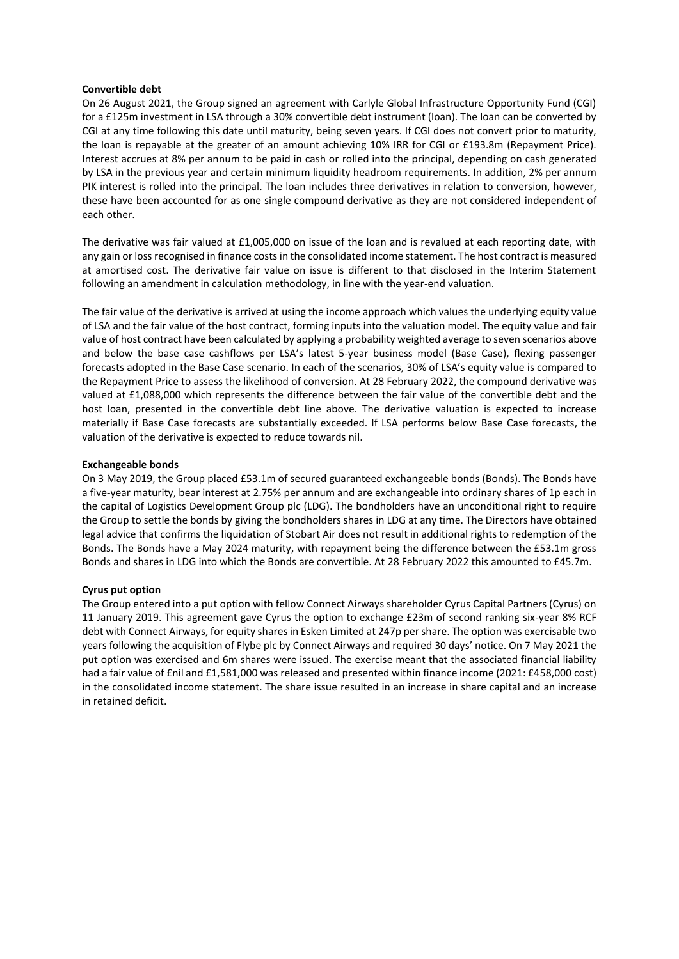## **Convertible debt**

On 26 August 2021, the Group signed an agreement with Carlyle Global Infrastructure Opportunity Fund (CGI) for a £125m investment in LSA through a 30% convertible debt instrument (loan). The loan can be converted by CGI at any time following this date until maturity, being seven years. If CGI does not convert prior to maturity, the loan is repayable at the greater of an amount achieving 10% IRR for CGI or £193.8m (Repayment Price). Interest accrues at 8% per annum to be paid in cash or rolled into the principal, depending on cash generated by LSA in the previous year and certain minimum liquidity headroom requirements. In addition, 2% per annum PIK interest is rolled into the principal. The loan includes three derivatives in relation to conversion, however, these have been accounted for as one single compound derivative as they are not considered independent of each other.

The derivative was fair valued at £1,005,000 on issue of the loan and is revalued at each reporting date, with any gain or loss recognised in finance costs in the consolidated income statement. The host contract is measured at amortised cost. The derivative fair value on issue is different to that disclosed in the Interim Statement following an amendment in calculation methodology, in line with the year-end valuation.

The fair value of the derivative is arrived at using the income approach which values the underlying equity value of LSA and the fair value of the host contract, forming inputs into the valuation model. The equity value and fair value of host contract have been calculated by applying a probability weighted average to seven scenarios above and below the base case cashflows per LSA's latest 5-year business model (Base Case), flexing passenger forecasts adopted in the Base Case scenario. In each of the scenarios, 30% of LSA's equity value is compared to the Repayment Price to assess the likelihood of conversion. At 28 February 2022, the compound derivative was valued at £1,088,000 which represents the difference between the fair value of the convertible debt and the host loan, presented in the convertible debt line above. The derivative valuation is expected to increase materially if Base Case forecasts are substantially exceeded. If LSA performs below Base Case forecasts, the valuation of the derivative is expected to reduce towards nil.

## **Exchangeable bonds**

On 3 May 2019, the Group placed £53.1m of secured guaranteed exchangeable bonds (Bonds). The Bonds have a five-year maturity, bear interest at 2.75% per annum and are exchangeable into ordinary shares of 1p each in the capital of Logistics Development Group plc (LDG). The bondholders have an unconditional right to require the Group to settle the bonds by giving the bondholders shares in LDG at any time. The Directors have obtained legal advice that confirms the liquidation of Stobart Air does not result in additional rights to redemption of the Bonds. The Bonds have a May 2024 maturity, with repayment being the difference between the £53.1m gross Bonds and shares in LDG into which the Bonds are convertible. At 28 February 2022 this amounted to £45.7m.

## **Cyrus put option**

The Group entered into a put option with fellow Connect Airways shareholder Cyrus Capital Partners (Cyrus) on 11 January 2019. This agreement gave Cyrus the option to exchange £23m of second ranking six-year 8% RCF debt with Connect Airways, for equity shares in Esken Limited at 247p per share. The option was exercisable two years following the acquisition of Flybe plc by Connect Airways and required 30 days' notice. On 7 May 2021 the put option was exercised and 6m shares were issued. The exercise meant that the associated financial liability had a fair value of £nil and £1,581,000 was released and presented within finance income (2021: £458,000 cost) in the consolidated income statement. The share issue resulted in an increase in share capital and an increase in retained deficit.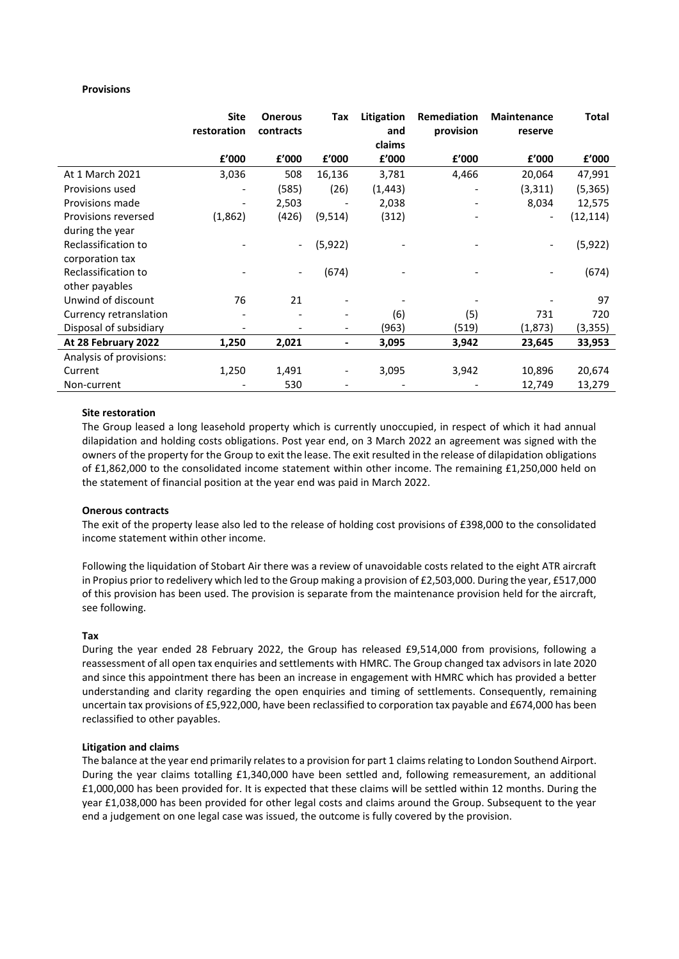## **Provisions**

|                         | <b>Site</b><br>restoration | <b>Onerous</b><br>contracts | Tax                          | Litigation<br>and | Remediation<br>provision | <b>Maintenance</b><br>reserve | Total     |
|-------------------------|----------------------------|-----------------------------|------------------------------|-------------------|--------------------------|-------------------------------|-----------|
|                         |                            |                             |                              | claims            |                          |                               |           |
|                         | £'000                      | £'000                       | £'000                        | £'000             | £'000                    | £'000                         | £'000     |
| At 1 March 2021         | 3,036                      | 508                         | 16,136                       | 3,781             | 4,466                    | 20,064                        | 47,991    |
| Provisions used         | $\overline{\phantom{a}}$   | (585)                       | (26)                         | (1,443)           |                          | (3,311)                       | (5, 365)  |
| Provisions made         |                            | 2,503                       |                              | 2,038             |                          | 8,034                         | 12,575    |
| Provisions reversed     | (1,862)                    | (426)                       | (9,514)                      | (312)             |                          | $\overline{\phantom{a}}$      | (12, 114) |
| during the year         |                            |                             |                              |                   |                          |                               |           |
| Reclassification to     |                            | $\overline{\phantom{0}}$    | (5, 922)                     |                   |                          | $\overline{\phantom{a}}$      | (5, 922)  |
| corporation tax         |                            |                             |                              |                   |                          |                               |           |
| Reclassification to     |                            | $\overline{\phantom{a}}$    | (674)                        |                   |                          |                               | (674)     |
| other payables          |                            |                             |                              |                   |                          |                               |           |
| Unwind of discount      | 76                         | 21                          |                              |                   |                          |                               | 97        |
| Currency retranslation  |                            |                             | ٠                            | (6)               | (5)                      | 731                           | 720       |
| Disposal of subsidiary  |                            |                             | $\qquad \qquad \blacksquare$ | (963)             | (519)                    | (1,873)                       | (3, 355)  |
| At 28 February 2022     | 1,250                      | 2,021                       | -                            | 3,095             | 3,942                    | 23,645                        | 33,953    |
| Analysis of provisions: |                            |                             |                              |                   |                          |                               |           |
| Current                 | 1,250                      | 1,491                       | $\overline{\phantom{a}}$     | 3,095             | 3,942                    | 10,896                        | 20,674    |
| Non-current             |                            | 530                         |                              |                   |                          | 12,749                        | 13,279    |

## **Site restoration**

The Group leased a long leasehold property which is currently unoccupied, in respect of which it had annual dilapidation and holding costs obligations. Post year end, on 3 March 2022 an agreement was signed with the owners of the property for the Group to exit the lease. The exit resulted in the release of dilapidation obligations of £1,862,000 to the consolidated income statement within other income. The remaining £1,250,000 held on the statement of financial position at the year end was paid in March 2022.

#### **Onerous contracts**

The exit of the property lease also led to the release of holding cost provisions of £398,000 to the consolidated income statement within other income.

Following the liquidation of Stobart Air there was a review of unavoidable costs related to the eight ATR aircraft in Propius prior to redelivery which led to the Group making a provision of £2,503,000. During the year, £517,000 of this provision has been used. The provision is separate from the maintenance provision held for the aircraft, see following.

#### **Tax**

During the year ended 28 February 2022, the Group has released £9,514,000 from provisions, following a reassessment of all open tax enquiries and settlements with HMRC. The Group changed tax advisors in late 2020 and since this appointment there has been an increase in engagement with HMRC which has provided a better understanding and clarity regarding the open enquiries and timing of settlements. Consequently, remaining uncertain tax provisions of £5,922,000, have been reclassified to corporation tax payable and £674,000 has been reclassified to other payables.

#### **Litigation and claims**

The balance at the year end primarily relates to a provision for part 1 claims relating to London Southend Airport. During the year claims totalling £1,340,000 have been settled and, following remeasurement, an additional £1,000,000 has been provided for. It is expected that these claims will be settled within 12 months. During the year £1,038,000 has been provided for other legal costs and claims around the Group. Subsequent to the year end a judgement on one legal case was issued, the outcome is fully covered by the provision.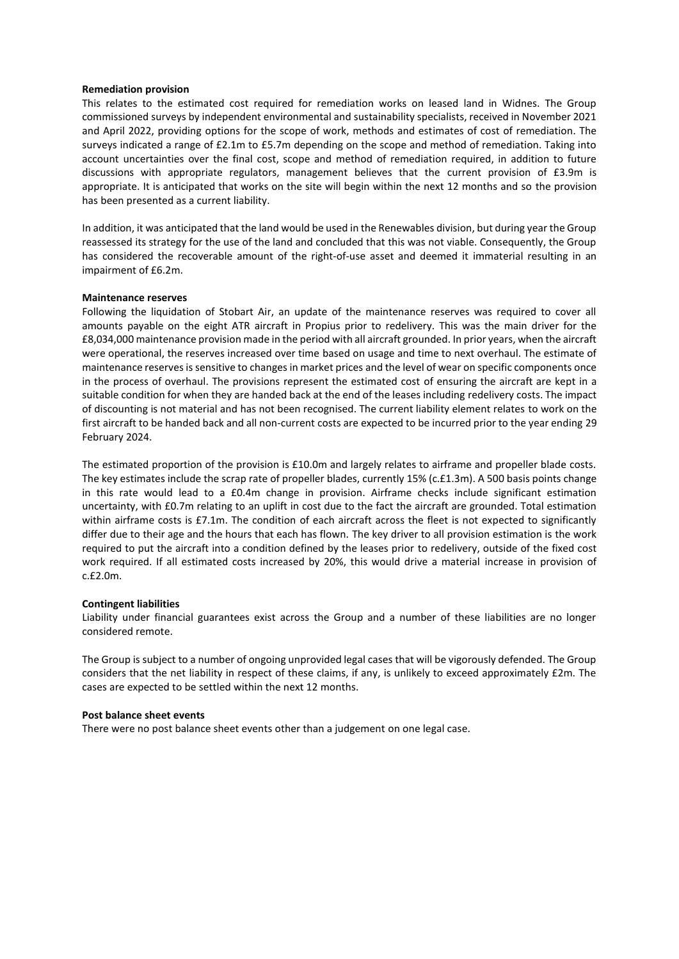#### **Remediation provision**

This relates to the estimated cost required for remediation works on leased land in Widnes. The Group commissioned surveys by independent environmental and sustainability specialists, received in November 2021 and April 2022, providing options for the scope of work, methods and estimates of cost of remediation. The surveys indicated a range of £2.1m to £5.7m depending on the scope and method of remediation. Taking into account uncertainties over the final cost, scope and method of remediation required, in addition to future discussions with appropriate regulators, management believes that the current provision of £3.9m is appropriate. It is anticipated that works on the site will begin within the next 12 months and so the provision has been presented as a current liability.

In addition, it was anticipated that the land would be used in the Renewables division, but during year the Group reassessed its strategy for the use of the land and concluded that this was not viable. Consequently, the Group has considered the recoverable amount of the right-of-use asset and deemed it immaterial resulting in an impairment of £6.2m.

#### **Maintenance reserves**

Following the liquidation of Stobart Air, an update of the maintenance reserves was required to cover all amounts payable on the eight ATR aircraft in Propius prior to redelivery. This was the main driver for the £8,034,000 maintenance provision made in the period with all aircraft grounded. In prior years, when the aircraft were operational, the reserves increased over time based on usage and time to next overhaul. The estimate of maintenance reserves is sensitive to changes in market prices and the level of wear on specific components once in the process of overhaul. The provisions represent the estimated cost of ensuring the aircraft are kept in a suitable condition for when they are handed back at the end of the leases including redelivery costs. The impact of discounting is not material and has not been recognised. The current liability element relates to work on the first aircraft to be handed back and all non-current costs are expected to be incurred prior to the year ending 29 February 2024.

The estimated proportion of the provision is £10.0m and largely relates to airframe and propeller blade costs. The key estimates include the scrap rate of propeller blades, currently 15% (c.£1.3m). A 500 basis points change in this rate would lead to a £0.4m change in provision. Airframe checks include significant estimation uncertainty, with £0.7m relating to an uplift in cost due to the fact the aircraft are grounded. Total estimation within airframe costs is £7.1m. The condition of each aircraft across the fleet is not expected to significantly differ due to their age and the hours that each has flown. The key driver to all provision estimation is the work required to put the aircraft into a condition defined by the leases prior to redelivery, outside of the fixed cost work required. If all estimated costs increased by 20%, this would drive a material increase in provision of c.£2.0m.

#### **Contingent liabilities**

Liability under financial guarantees exist across the Group and a number of these liabilities are no longer considered remote.

The Group is subject to a number of ongoing unprovided legal cases that will be vigorously defended. The Group considers that the net liability in respect of these claims, if any, is unlikely to exceed approximately £2m. The cases are expected to be settled within the next 12 months.

#### **Post balance sheet events**

There were no post balance sheet events other than a judgement on one legal case.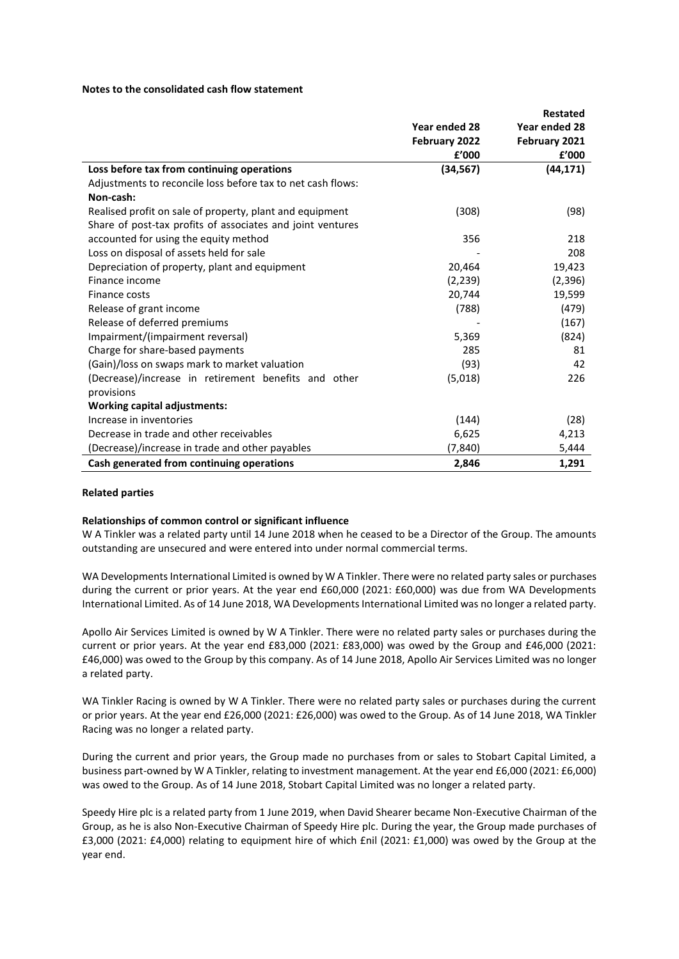#### **Notes to the consolidated cash flow statement**

|                                                             |                        | <b>Restated</b> |
|-------------------------------------------------------------|------------------------|-----------------|
|                                                             | Year ended 28          | Year ended 28   |
|                                                             | February 2022          | February 2021   |
|                                                             | ${\bf f}^{\prime}$ 000 | f'000           |
| Loss before tax from continuing operations                  | (34, 567)              | (44, 171)       |
| Adjustments to reconcile loss before tax to net cash flows: |                        |                 |
| Non-cash:                                                   |                        |                 |
| Realised profit on sale of property, plant and equipment    | (308)                  | (98)            |
| Share of post-tax profits of associates and joint ventures  |                        |                 |
| accounted for using the equity method                       | 356                    | 218             |
| Loss on disposal of assets held for sale                    |                        | 208             |
| Depreciation of property, plant and equipment               | 20,464                 | 19,423          |
| Finance income                                              | (2, 239)               | (2, 396)        |
| Finance costs                                               | 20,744                 | 19,599          |
| Release of grant income                                     | (788)                  | (479)           |
| Release of deferred premiums                                |                        | (167)           |
| Impairment/(impairment reversal)                            | 5,369                  | (824)           |
| Charge for share-based payments                             | 285                    | 81              |
| (Gain)/loss on swaps mark to market valuation               | (93)                   | 42              |
| (Decrease)/increase in retirement benefits and other        | (5,018)                | 226             |
| provisions                                                  |                        |                 |
| <b>Working capital adjustments:</b>                         |                        |                 |
| Increase in inventories                                     | (144)                  | (28)            |
| Decrease in trade and other receivables                     | 6,625                  | 4,213           |
| (Decrease)/increase in trade and other payables             | (7, 840)               | 5,444           |
| Cash generated from continuing operations                   | 2,846                  | 1,291           |

#### **Related parties**

#### **Relationships of common control or significant influence**

W A Tinkler was a related party until 14 June 2018 when he ceased to be a Director of the Group. The amounts outstanding are unsecured and were entered into under normal commercial terms.

WA Developments International Limited is owned by W A Tinkler. There were no related party sales or purchases during the current or prior years. At the year end £60,000 (2021: £60,000) was due from WA Developments International Limited. As of 14 June 2018, WA Developments International Limited was no longer a related party.

Apollo Air Services Limited is owned by W A Tinkler. There were no related party sales or purchases during the current or prior years. At the year end £83,000 (2021: £83,000) was owed by the Group and £46,000 (2021: £46,000) was owed to the Group by this company. As of 14 June 2018, Apollo Air Services Limited was no longer a related party.

WA Tinkler Racing is owned by W A Tinkler. There were no related party sales or purchases during the current or prior years. At the year end £26,000 (2021: £26,000) was owed to the Group. As of 14 June 2018, WA Tinkler Racing was no longer a related party.

During the current and prior years, the Group made no purchases from or sales to Stobart Capital Limited, a business part-owned by W A Tinkler, relating to investment management. At the year end £6,000 (2021: £6,000) was owed to the Group. As of 14 June 2018, Stobart Capital Limited was no longer a related party.

Speedy Hire plc is a related party from 1 June 2019, when David Shearer became Non-Executive Chairman of the Group, as he is also Non-Executive Chairman of Speedy Hire plc. During the year, the Group made purchases of £3,000 (2021: £4,000) relating to equipment hire of which £nil (2021: £1,000) was owed by the Group at the year end.